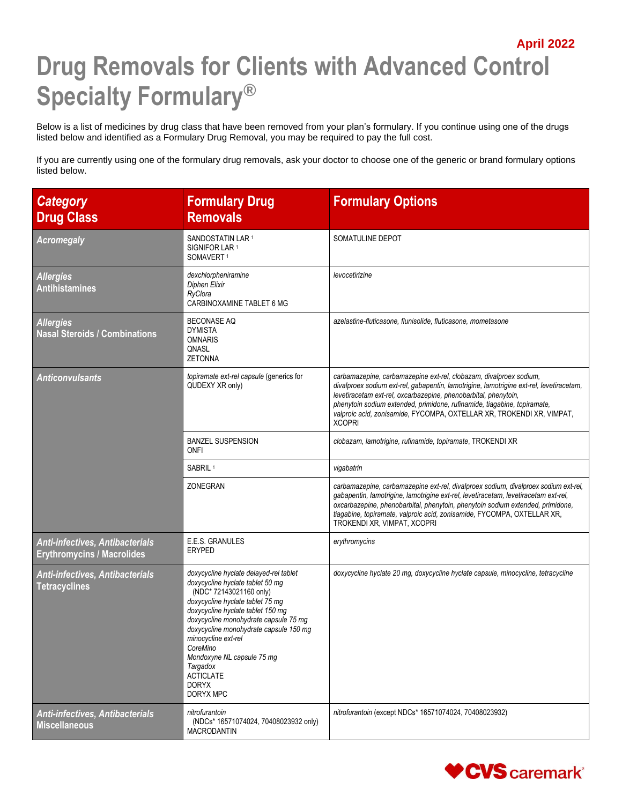## **April 2022 Drug Removals for Clients with Advanced Control Specialty Formulary®**

Below is a list of medicines by drug class that have been removed from your plan's formulary. If you continue using one of the drugs listed below and identified as a Formulary Drug Removal, you may be required to pay the full cost.

If you are currently using one of the formulary drug removals, ask your doctor to choose one of the generic or brand formulary options listed below.

| <b>Category</b><br><b>Drug Class</b>                                        | <b>Formulary Drug</b><br><b>Removals</b>                                                                                                                                                                                                                                                                                                                                                        | <b>Formulary Options</b>                                                                                                                                                                                                                                                                                                                                                                               |
|-----------------------------------------------------------------------------|-------------------------------------------------------------------------------------------------------------------------------------------------------------------------------------------------------------------------------------------------------------------------------------------------------------------------------------------------------------------------------------------------|--------------------------------------------------------------------------------------------------------------------------------------------------------------------------------------------------------------------------------------------------------------------------------------------------------------------------------------------------------------------------------------------------------|
| <b>Acromegaly</b>                                                           | SANDOSTATIN LAR <sup>1</sup><br>SIGNIFOR LAR <sup>1</sup><br>SOMAVERT <sup>1</sup>                                                                                                                                                                                                                                                                                                              | SOMATULINE DEPOT                                                                                                                                                                                                                                                                                                                                                                                       |
| <b>Allergies</b><br><b>Antihistamines</b>                                   | dexchlorpheniramine<br>Diphen Elixir<br>RyClora<br>CARBINOXAMINE TABLET 6 MG                                                                                                                                                                                                                                                                                                                    | levocetirizine                                                                                                                                                                                                                                                                                                                                                                                         |
| <b>Allergies</b><br><b>Nasal Steroids / Combinations</b>                    | <b>BECONASE AQ</b><br><b>DYMISTA</b><br><b>OMNARIS</b><br>QNASL<br><b>ZETONNA</b>                                                                                                                                                                                                                                                                                                               | azelastine-fluticasone, flunisolide, fluticasone, mometasone                                                                                                                                                                                                                                                                                                                                           |
| <b>Anticonvulsants</b>                                                      | topiramate ext-rel capsule (generics for<br>QUDEXY XR only)                                                                                                                                                                                                                                                                                                                                     | carbamazepine, carbamazepine ext-rel, clobazam, divalproex sodium,<br>divalproex sodium ext-rel, gabapentin, lamotrigine, lamotrigine ext-rel, levetiracetam,<br>levetiracetam ext-rel, oxcarbazepine, phenobarbital, phenytoin,<br>phenytoin sodium extended, primidone, rufinamide, tiagabine, topiramate,<br>valproic acid, zonisamide, FYCOMPA, OXTELLAR XR, TROKENDI XR, VIMPAT,<br><b>XCOPRI</b> |
|                                                                             | <b>BANZEL SUSPENSION</b><br>ONFI                                                                                                                                                                                                                                                                                                                                                                | clobazam, lamotrigine, rufinamide, topiramate, TROKENDI XR                                                                                                                                                                                                                                                                                                                                             |
|                                                                             | SABRIL <sup>1</sup>                                                                                                                                                                                                                                                                                                                                                                             | vigabatrin                                                                                                                                                                                                                                                                                                                                                                                             |
|                                                                             | ZONEGRAN                                                                                                                                                                                                                                                                                                                                                                                        | carbamazepine, carbamazepine ext-rel, divalproex sodium, divalproex sodium ext-rel,<br>gabapentin, lamotrigine, lamotrigine ext-rel, levetiracetam, levetiracetam ext-rel,<br>oxcarbazepine, phenobarbital, phenytoin, phenytoin sodium extended, primidone,<br>tiagabine, topiramate, valproic acid, zonisamide, FYCOMPA, OXTELLAR XR,<br>TROKENDI XR, VIMPAT, XCOPRI                                 |
| <b>Anti-infectives, Antibacterials</b><br><b>Erythromycins / Macrolides</b> | E.E.S. GRANULES<br><b>ERYPED</b>                                                                                                                                                                                                                                                                                                                                                                | erythromycins                                                                                                                                                                                                                                                                                                                                                                                          |
| <b>Anti-infectives, Antibacterials</b><br><b>Tetracyclines</b>              | doxycycline hyclate delayed-rel tablet<br>doxycycline hyclate tablet 50 mg<br>(NDC* 72143021160 only)<br>doxycycline hyclate tablet 75 mg<br>doxycycline hyclate tablet 150 mg<br>doxycycline monohydrate capsule 75 mg<br>doxycycline monohydrate capsule 150 mg<br>minocycline ext-rel<br>CoreMino<br>Mondoxyne NL capsule 75 mg<br>Targadox<br><b>ACTICLATE</b><br><b>DORYX</b><br>DORYX MPC | doxycycline hyclate 20 mg, doxycycline hyclate capsule, minocycline, tetracycline                                                                                                                                                                                                                                                                                                                      |
| <b>Anti-infectives, Antibacterials</b><br><b>Miscellaneous</b>              | nitrofurantoin<br>(NDCs* 16571074024, 70408023932 only)<br><b>MACRODANTIN</b>                                                                                                                                                                                                                                                                                                                   | nitrofurantoin (except NDCs* 16571074024, 70408023932)                                                                                                                                                                                                                                                                                                                                                 |

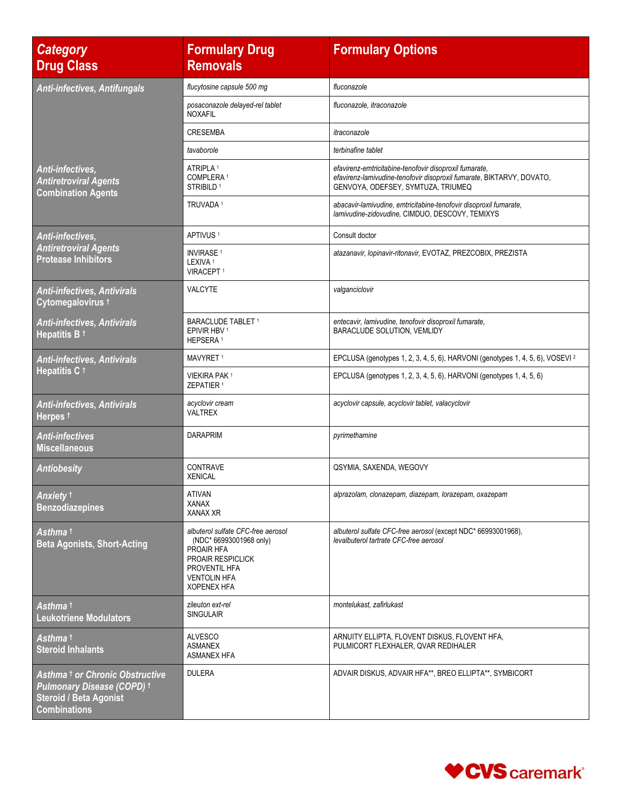| <b>Category</b><br><b>Drug Class</b>                                                                                                    | <b>Formulary Drug</b><br><b>Removals</b>                                                                                                                              | <b>Formulary Options</b>                                                                                                                                              |
|-----------------------------------------------------------------------------------------------------------------------------------------|-----------------------------------------------------------------------------------------------------------------------------------------------------------------------|-----------------------------------------------------------------------------------------------------------------------------------------------------------------------|
| <b>Anti-infectives, Antifungals</b>                                                                                                     | flucytosine capsule 500 mg                                                                                                                                            | fluconazole                                                                                                                                                           |
|                                                                                                                                         | posaconazole delayed-rel tablet<br><b>NOXAFIL</b>                                                                                                                     | fluconazole, itraconazole                                                                                                                                             |
|                                                                                                                                         | <b>CRESEMBA</b>                                                                                                                                                       | itraconazole                                                                                                                                                          |
|                                                                                                                                         | tavaborole                                                                                                                                                            | terbinafine tablet                                                                                                                                                    |
| Anti-infectives,<br><b>Antiretroviral Agents</b><br><b>Combination Agents</b>                                                           | ATRIPLA <sup>1</sup><br>COMPLERA <sup>1</sup><br>STRIBILD <sup>1</sup>                                                                                                | efavirenz-emtricitabine-tenofovir disoproxil fumarate,<br>efavirenz-lamivudine-tenofovir disoproxil fumarate, BIKTARVY, DOVATO,<br>GENVOYA, ODEFSEY, SYMTUZA, TRIUMEQ |
|                                                                                                                                         | TRUVADA <sup>1</sup>                                                                                                                                                  | abacavir-lamivudine, emtricitabine-tenofovir disoproxil fumarate,<br>lamivudine-zidovudine, CIMDUO, DESCOVY, TEMIXYS                                                  |
| <b>Anti-infectives.</b>                                                                                                                 | APTIVUS <sup>1</sup>                                                                                                                                                  | Consult doctor                                                                                                                                                        |
| <b>Antiretroviral Agents</b><br><b>Protease Inhibitors</b>                                                                              | <b>INVIRASE<sup>1</sup></b><br>LEXIVA <sup>1</sup><br><b>VIRACEPT 1</b>                                                                                               | atazanavir, lopinavir-ritonavir, EVOTAZ, PREZCOBIX, PREZISTA                                                                                                          |
| <b>Anti-infectives, Antivirals</b><br>Cytomegalovirus 1                                                                                 | VALCYTE                                                                                                                                                               | valganciclovir                                                                                                                                                        |
| <b>Anti-infectives, Antivirals</b><br>Hepatitis B <sup>+</sup>                                                                          | <b>BARACLUDE TABLET 1</b><br>EPIVIR HBV <sup>1</sup><br>HEPSERA <sup>1</sup>                                                                                          | entecavir, lamivudine, tenofovir disoproxil fumarate,<br>BARACLUDE SOLUTION, VEMLIDY                                                                                  |
| <b>Anti-infectives, Antivirals</b>                                                                                                      | MAVYRET <sup>1</sup>                                                                                                                                                  | EPCLUSA (genotypes 1, 2, 3, 4, 5, 6), HARVONI (genotypes 1, 4, 5, 6), VOSEVI <sup>2</sup>                                                                             |
| Hepatitis C <sup>+</sup>                                                                                                                | VIEKIRA PAK 1<br>ZEPATIER 1                                                                                                                                           | EPCLUSA (genotypes 1, 2, 3, 4, 5, 6), HARVONI (genotypes 1, 4, 5, 6)                                                                                                  |
| <b>Anti-infectives, Antivirals</b><br>Herpes <sup>t</sup>                                                                               | acyclovir cream<br>VALTREX                                                                                                                                            | acyclovir capsule, acyclovir tablet, valacyclovir                                                                                                                     |
| <b>Anti-infectives</b><br><b>Miscellaneous</b>                                                                                          | <b>DARAPRIM</b>                                                                                                                                                       | pyrimethamine                                                                                                                                                         |
| <b>Antiobesity</b>                                                                                                                      | <b>CONTRAVE</b><br><b>XENICAL</b>                                                                                                                                     | QSYMIA, SAXENDA, WEGOVY                                                                                                                                               |
| <b>Anxiety</b> f<br><b>Benzodiazepines</b>                                                                                              | <b>ATIVAN</b><br><b>XANAX</b><br><b>XANAX XR</b>                                                                                                                      | alprazolam, clonazepam, diazepam, lorazepam, oxazepam                                                                                                                 |
| Asthma t<br><b>Beta Agonists, Short-Acting</b>                                                                                          | albuterol sulfate CFC-free aerosol<br>(NDC* 66993001968 only)<br>PROAIR HFA<br><b>PROAIR RESPICLICK</b><br>PROVENTIL HFA<br><b>VENTOLIN HFA</b><br><b>XOPENEX HFA</b> | albuterol sulfate CFC-free aerosol (except NDC* 66993001968).<br>levalbuterol tartrate CFC-free aerosol                                                               |
| Asthma t<br><b>Leukotriene Modulators</b>                                                                                               | zileuton ext-rel<br><b>SINGULAIR</b>                                                                                                                                  | montelukast. zafirlukast                                                                                                                                              |
| Asthma t<br><b>Steroid Inhalants</b>                                                                                                    | <b>ALVESCO</b><br><b>ASMANEX</b><br><b>ASMANEX HFA</b>                                                                                                                | ARNUITY ELLIPTA, FLOVENT DISKUS, FLOVENT HFA,<br>PULMICORT FLEXHALER, QVAR REDIHALER                                                                                  |
| Asthma <sup>t</sup> or Chronic Obstructive<br><b>Pulmonary Disease (COPD) +</b><br><b>Steroid / Beta Agonist</b><br><b>Combinations</b> | <b>DULERA</b>                                                                                                                                                         | ADVAIR DISKUS, ADVAIR HFA**, BREO ELLIPTA**, SYMBICORT                                                                                                                |

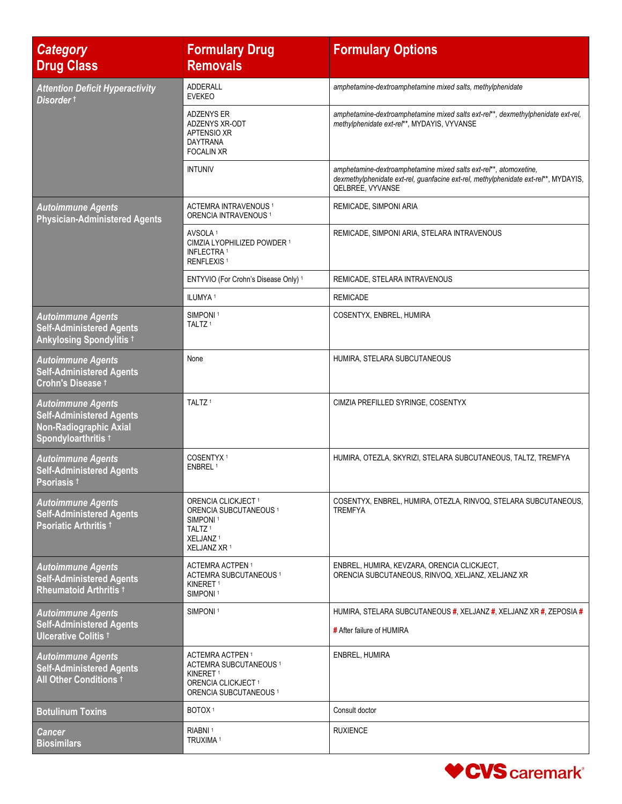| <b>Category</b><br><b>Drug Class</b>                                                                                | <b>Formulary Drug</b><br><b>Removals</b>                                                                                                                        | <b>Formulary Options</b>                                                                                                                                                     |
|---------------------------------------------------------------------------------------------------------------------|-----------------------------------------------------------------------------------------------------------------------------------------------------------------|------------------------------------------------------------------------------------------------------------------------------------------------------------------------------|
| <b>Attention Deficit Hyperactivity</b><br>Disorder t                                                                | <b>ADDERALL</b><br><b>EVEKEO</b>                                                                                                                                | amphetamine-dextroamphetamine mixed salts, methylphenidate                                                                                                                   |
|                                                                                                                     | <b>ADZENYS ER</b><br>ADZENYS XR-ODT<br><b>APTENSIO XR</b><br><b>DAYTRANA</b><br><b>FOCALIN XR</b>                                                               | amphetamine-dextroamphetamine mixed salts ext-rel**, dexmethylphenidate ext-rel,<br>methylphenidate ext-rel**, MYDAYIS, VYVANSE                                              |
|                                                                                                                     | <b>INTUNIV</b>                                                                                                                                                  | amphetamine-dextroamphetamine mixed salts ext-rel**, atomoxetine,<br>dexmethylphenidate ext-rel, guanfacine ext-rel, methylphenidate ext-rel**, MYDAYIS,<br>QELBREE, VYVANSE |
| <b>Autoimmune Agents</b><br><b>Physician-Administered Agents</b>                                                    | ACTEMRA INTRAVENOUS <sup>1</sup><br>ORENCIA INTRAVENOUS <sup>1</sup>                                                                                            | REMICADE, SIMPONI ARIA                                                                                                                                                       |
|                                                                                                                     | AVSOLA <sup>1</sup><br>CIMZIA LYOPHILIZED POWDER 1<br><b>INFLECTRA 1</b><br><b>RENFLEXIS<sup>1</sup></b>                                                        | REMICADE, SIMPONI ARIA, STELARA INTRAVENOUS                                                                                                                                  |
|                                                                                                                     | ENTYVIO (For Crohn's Disease Only) 1                                                                                                                            | REMICADE, STELARA INTRAVENOUS                                                                                                                                                |
|                                                                                                                     | ILUMYA <sup>1</sup>                                                                                                                                             | <b>REMICADE</b>                                                                                                                                                              |
| <b>Autoimmune Agents</b><br><b>Self-Administered Agents</b><br><b>Ankylosing Spondylitis +</b>                      | SIMPONI <sup>1</sup><br>TALTZ <sup>1</sup>                                                                                                                      | COSENTYX, ENBREL, HUMIRA                                                                                                                                                     |
| <b>Autoimmune Agents</b><br><b>Self-Administered Agents</b><br>Crohn's Disease t                                    | None                                                                                                                                                            | HUMIRA, STELARA SUBCUTANEOUS                                                                                                                                                 |
| <b>Autoimmune Agents</b><br><b>Self-Administered Agents</b><br><b>Non-Radiographic Axial</b><br>Spondyloarthritis t | TALTZ <sup>1</sup>                                                                                                                                              | CIMZIA PREFILLED SYRINGE, COSENTYX                                                                                                                                           |
| <b>Autoimmune Agents</b><br><b>Self-Administered Agents</b><br>Psoriasis †                                          | COSENTYX <sup>1</sup><br>ENBREL <sup>1</sup>                                                                                                                    | HUMIRA, OTEZLA, SKYRIZI, STELARA SUBCUTANEOUS, TALTZ, TREMFYA                                                                                                                |
| <b>Autoimmune Agents</b><br><b>Self-Administered Agents</b><br>Psoriatic Arthritis t                                | ORENCIA CLICKJECT <sup>1</sup><br>ORENCIA SUBCUTANEOUS <sup>1</sup><br>SIMPONI <sup>1</sup><br>TALTZ <sup>1</sup><br>XELJANZ <sup>1</sup><br>XELJANZ XR 1       | COSENTYX, ENBREL, HUMIRA, OTEZLA, RINVOQ, STELARA SUBCUTANEOUS,<br><b>TREMFYA</b>                                                                                            |
| <b>Autoimmune Agents</b><br><b>Self-Administered Agents</b><br>Rheumatoid Arthritis <sup>†</sup>                    | ACTEMRA ACTPEN <sup>1</sup><br>ACTEMRA SUBCUTANEOUS <sup>1</sup><br>KINERET <sup>1</sup><br>SIMPONI <sup>1</sup>                                                | ENBREL, HUMIRA, KEVZARA, ORENCIA CLICKJECT,<br>ORENCIA SUBCUTANEOUS, RINVOQ, XELJANZ, XELJANZ XR                                                                             |
| <b>Autoimmune Agents</b><br><b>Self-Administered Agents</b><br><b>Ulcerative Colitis +</b>                          | SIMPONI <sup>1</sup>                                                                                                                                            | HUMIRA, STELARA SUBCUTANEOUS #, XELJANZ #, XELJANZ XR #, ZEPOSIA #<br># After failure of HUMIRA                                                                              |
| <b>Autoimmune Agents</b><br><b>Self-Administered Agents</b><br>All Other Conditions <sup>t</sup>                    | ACTEMRA ACTPEN <sup>1</sup><br>ACTEMRA SUBCUTANEOUS <sup>1</sup><br>KINERET <sup>1</sup><br>ORENCIA CLICKJECT <sup>1</sup><br>ORENCIA SUBCUTANEOUS <sup>1</sup> | ENBREL, HUMIRA                                                                                                                                                               |
| <b>Botulinum Toxins</b>                                                                                             | BOTOX <sup>1</sup>                                                                                                                                              | Consult doctor                                                                                                                                                               |
| Cancer<br><b>Biosimilars</b>                                                                                        | RIABNI <sup>1</sup><br>TRUXIMA <sup>1</sup>                                                                                                                     | <b>RUXIENCE</b>                                                                                                                                                              |

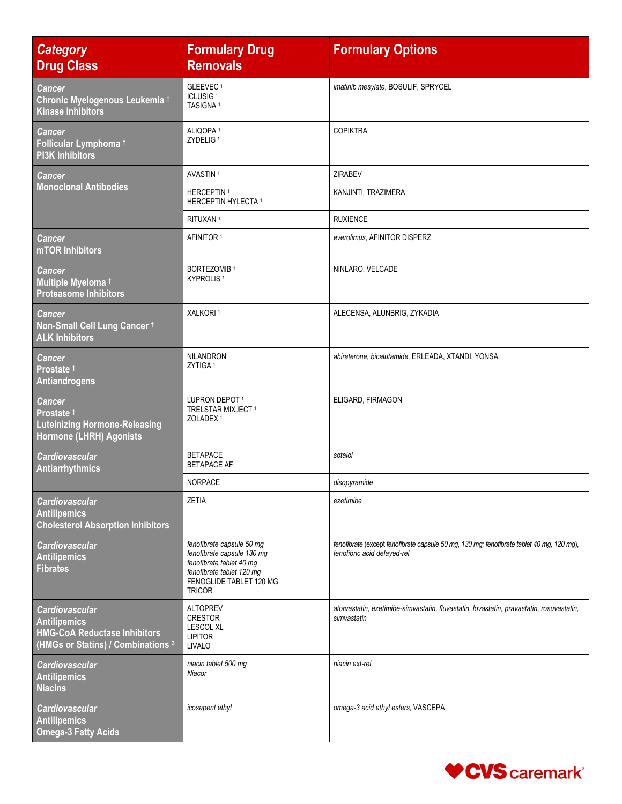| <b>Category</b><br><b>Drug Class</b>                                                                                      | <b>Formulary Drug</b><br><b>Removals</b>                                                                                                                     | <b>Formulary Options</b>                                                                                                 |
|---------------------------------------------------------------------------------------------------------------------------|--------------------------------------------------------------------------------------------------------------------------------------------------------------|--------------------------------------------------------------------------------------------------------------------------|
| <b>Cancer</b><br>Chronic Myelogenous Leukemia t<br><b>Kinase Inhibitors</b>                                               | GLEEVEC <sup>1</sup><br>ICLUSIG <sup>1</sup><br>TASIGNA <sup>1</sup>                                                                                         | imatinib mesylate, BOSULIF, SPRYCEL                                                                                      |
| Cancer<br>Follicular Lymphoma +<br><b>PI3K Inhibitors</b>                                                                 | ALIQOPA <sup>1</sup><br>ZYDELIG <sup>1</sup>                                                                                                                 | <b>COPIKTRA</b>                                                                                                          |
| <b>Cancer</b>                                                                                                             | AVASTIN <sup>1</sup>                                                                                                                                         | <b>ZIRABEV</b>                                                                                                           |
| <b>Monoclonal Antibodies</b>                                                                                              | HERCEPTIN <sup>1</sup><br>HERCEPTIN HYLECTA <sup>1</sup>                                                                                                     | KANJINTI, TRAZIMERA                                                                                                      |
|                                                                                                                           | RITUXAN <sup>1</sup>                                                                                                                                         | <b>RUXIENCE</b>                                                                                                          |
| Cancer<br>mTOR Inhibitors                                                                                                 | AFINITOR <sup>1</sup>                                                                                                                                        | everolimus, AFINITOR DISPERZ                                                                                             |
| <b>Cancer</b><br>Multiple Myeloma +<br><b>Proteasome Inhibitors</b>                                                       | <b>BORTEZOMIB1</b><br>KYPROLIS <sup>1</sup>                                                                                                                  | NINLARO, VELCADE                                                                                                         |
| <b>Cancer</b><br>Non-Small Cell Lung Cancer 1<br><b>ALK Inhibitors</b>                                                    | XALKORI <sup>1</sup>                                                                                                                                         | ALECENSA, ALUNBRIG, ZYKADIA                                                                                              |
| <b>Cancer</b><br>Prostate <sup>†</sup><br>Antiandrogens                                                                   | <b>NILANDRON</b><br>ZYTIGA <sup>1</sup>                                                                                                                      | abiraterone, bicalutamide, ERLEADA, XTANDI, YONSA                                                                        |
| <b>Cancer</b><br>Prostate <sup>†</sup><br><b>Luteinizing Hormone-Releasing</b><br>Hormone (LHRH) Agonists                 | LUPRON DEPOT <sup>1</sup><br>TRELSTAR MIXJECT <sup>1</sup><br>ZOLADEX <sup>1</sup>                                                                           | ELIGARD, FIRMAGON                                                                                                        |
| <b>Cardiovascular</b><br>Antiarrhythmics                                                                                  | <b>BETAPACE</b><br><b>BETAPACE AF</b>                                                                                                                        | sotalol                                                                                                                  |
|                                                                                                                           | <b>NORPACE</b>                                                                                                                                               | disopyramide                                                                                                             |
| Cardiovascular<br><b>Antilipemics</b><br><b>Cholesterol Absorption Inhibitors</b>                                         | <b>ZETIA</b>                                                                                                                                                 | ezetimibe                                                                                                                |
| <b>Cardiovascular</b><br><b>Antilipemics</b><br>Fibrates                                                                  | fenofibrate capsule 50 mg<br>fenofibrate capsule 130 mg<br>fenofibrate tablet 40 mg<br>fenofibrate tablet 120 mg<br>FENOGLIDE TABLET 120 MG<br><b>TRICOR</b> | fenofibrate (except fenofibrate capsule 50 mg, 130 mg; fenofibrate tablet 40 mg, 120 mg),<br>fenofibric acid delayed-rel |
| <b>Cardiovascular</b><br><b>Antilipemics</b><br><b>HMG-CoA Reductase Inhibitors</b><br>(HMGs or Statins) / Combinations 3 | <b>ALTOPREV</b><br><b>CRESTOR</b><br><b>LESCOL XL</b><br><b>LIPITOR</b><br><b>LIVALO</b>                                                                     | atorvastatin, ezetimibe-simvastatin, fluvastatin, lovastatin, pravastatin, rosuvastatin,<br>simvastatin                  |
| <b>Cardiovascular</b><br><b>Antilipemics</b><br><b>Niacins</b>                                                            | niacin tablet 500 mg<br>Niacor                                                                                                                               | niacin ext-rel                                                                                                           |
| <b>Cardiovascular</b><br><b>Antilipemics</b><br><b>Omega-3 Fatty Acids</b>                                                | icosapent ethyl                                                                                                                                              | omega-3 acid ethyl esters, VASCEPA                                                                                       |

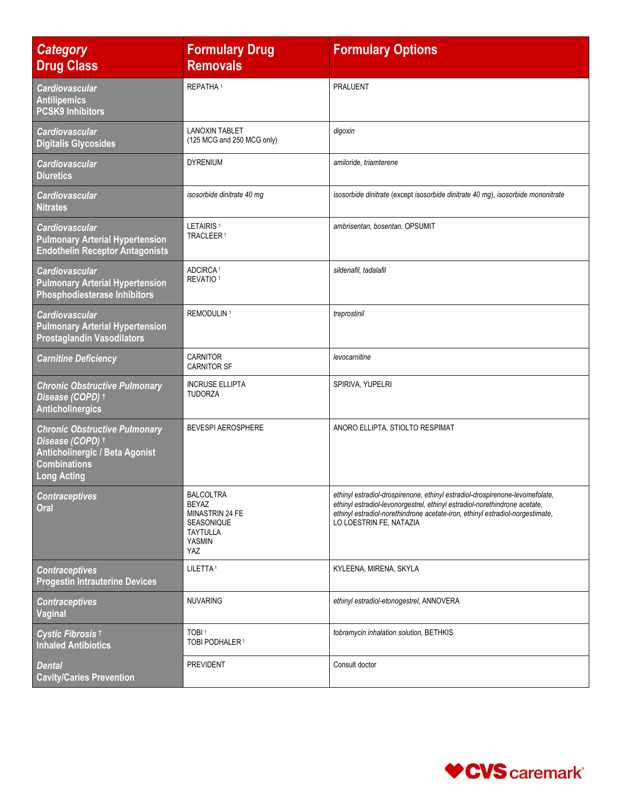| <b>Category</b><br><b>Drug Class</b>                                                                                                           | <b>Formulary Drug</b><br><b>Removals</b>                                                       | <b>Formulary Options</b>                                                                                                                                                                                                                                               |
|------------------------------------------------------------------------------------------------------------------------------------------------|------------------------------------------------------------------------------------------------|------------------------------------------------------------------------------------------------------------------------------------------------------------------------------------------------------------------------------------------------------------------------|
| <b>Cardiovascular</b><br><b>Antilipemics</b><br><b>PCSK9 Inhibitors</b>                                                                        | REPATHA <sup>1</sup>                                                                           | <b>PRALUENT</b>                                                                                                                                                                                                                                                        |
| <b>Cardiovascular</b><br><b>Digitalis Glycosides</b>                                                                                           | <b>LANOXIN TABLET</b><br>(125 MCG and 250 MCG only)                                            | digoxin                                                                                                                                                                                                                                                                |
| <b>Cardiovascular</b><br><b>Diuretics</b>                                                                                                      | <b>DYRENIUM</b>                                                                                | amiloride, triamterene                                                                                                                                                                                                                                                 |
| Cardiovascular<br><b>Nitrates</b>                                                                                                              | isosorbide dinitrate 40 mg                                                                     | isosorbide dinitrate (except isosorbide dinitrate 40 mg), isosorbide mononitrate                                                                                                                                                                                       |
| <b>Cardiovascular</b><br><b>Pulmonary Arterial Hypertension</b><br><b>Endothelin Receptor Antagonists</b>                                      | LETAIRIS <sup>1</sup><br>TRACLEER <sup>1</sup>                                                 | ambrisentan, bosentan, OPSUMIT                                                                                                                                                                                                                                         |
| <b>Cardiovascular</b><br><b>Pulmonary Arterial Hypertension</b><br><b>Phosphodiesterase Inhibitors</b>                                         | ADCIRCA <sup>1</sup><br>REVATIO <sup>1</sup>                                                   | sildenafil, tadalafil                                                                                                                                                                                                                                                  |
| <b>Cardiovascular</b><br><b>Pulmonary Arterial Hypertension</b><br><b>Prostaglandin Vasodilators</b>                                           | REMODULIN <sup>1</sup>                                                                         | treprostinil                                                                                                                                                                                                                                                           |
| <b>Carnitine Deficiency</b>                                                                                                                    | CARNITOR<br><b>CARNITOR SF</b>                                                                 | levocarnitine                                                                                                                                                                                                                                                          |
| <b>Chronic Obstructive Pulmonary</b><br>Disease (COPD) †<br><b>Anticholinergics</b>                                                            | <b>INCRUSE ELLIPTA</b><br><b>TUDORZA</b>                                                       | SPIRIVA, YUPELRI                                                                                                                                                                                                                                                       |
| <b>Chronic Obstructive Pulmonary</b><br>Disease (COPD) †<br><b>Anticholinergic / Beta Agonist</b><br><b>Combinations</b><br><b>Long Acting</b> | <b>BEVESPI AEROSPHERE</b>                                                                      | ANORO ELLIPTA, STIOLTO RESPIMAT                                                                                                                                                                                                                                        |
| <b>Contraceptives</b><br>Oral                                                                                                                  | BALCOLTRA<br><b>BEYAZ</b><br>MINASTRIN 24 FE<br>SEASONIQUE<br><b>TAYTULLA</b><br>YASMIN<br>YAZ | ethinyl estradiol-drospirenone, ethinyl estradiol-drospirenone-levomefolate,<br>ethinyl estradiol-levonorgestrel, ethinyl estradiol-norethindrone acetate,<br>ethinyl estradiol-norethindrone acetate-iron, ethinyl estradiol-norgestimate,<br>LO LOESTRIN FE, NATAZIA |
| <b>Contraceptives</b><br><b>Progestin Intrauterine Devices</b>                                                                                 | LILETTA <sup>1</sup>                                                                           | KYLEENA, MIRENA, SKYLA                                                                                                                                                                                                                                                 |
| <b>Contraceptives</b><br><b>Vaginal</b>                                                                                                        | <b>NUVARING</b>                                                                                | ethinyl estradiol-etonogestrel, ANNOVERA                                                                                                                                                                                                                               |
| Cystic Fibrosis <sup>t</sup><br><b>Inhaled Antibiotics</b>                                                                                     | TOBI <sup>1</sup><br>TOBI PODHALER <sup>1</sup>                                                | tobramycin inhalation solution, BETHKIS                                                                                                                                                                                                                                |
| Dental<br><b>Cavity/Caries Prevention</b>                                                                                                      | <b>PREVIDENT</b>                                                                               | Consult doctor                                                                                                                                                                                                                                                         |

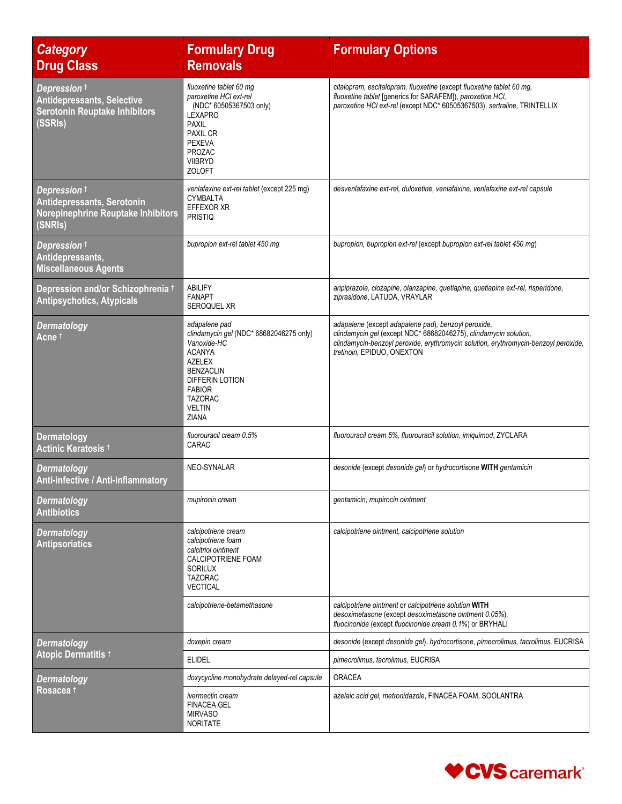| <b>Category</b><br><b>Drug Class</b>                                                                 | <b>Formulary Drug</b><br><b>Removals</b>                                                                                                                                                                             | <b>Formulary Options</b>                                                                                                                                                                                                                     |
|------------------------------------------------------------------------------------------------------|----------------------------------------------------------------------------------------------------------------------------------------------------------------------------------------------------------------------|----------------------------------------------------------------------------------------------------------------------------------------------------------------------------------------------------------------------------------------------|
| Depression t<br><b>Antidepressants, Selective</b><br><b>Serotonin Reuptake Inhibitors</b><br>(SSRIs) | fluoxetine tablet 60 mg<br>paroxetine HCI ext-rel<br>(NDC* 60505367503 only)<br><b>LEXAPRO</b><br><b>PAXIL</b><br><b>PAXIL CR</b><br><b>PEXEVA</b><br>PROZAC<br><b>VIIBRYD</b><br><b>ZOLOFT</b>                      | citalopram, escitalopram, fluoxetine (except fluoxetine tablet 60 mg,<br>fluoxetine tablet [generics for SARAFEM]), paroxetine HCI,<br>paroxetine HCl ext-rel (except NDC* 60505367503), sertraline, TRINTELLIX                              |
| Depression t<br>Antidepressants, Serotonin<br><b>Norepinephrine Reuptake Inhibitors</b><br>(SNRIs)   | venlafaxine ext-rel tablet (except 225 mg)<br>CYMBALTA<br>EFFEXOR XR<br><b>PRISTIQ</b>                                                                                                                               | desvenlafaxine ext-rel, duloxetine, venlafaxine, venlafaxine ext-rel capsule                                                                                                                                                                 |
| Depression t<br>Antidepressants,<br><b>Miscellaneous Agents</b>                                      | bupropion ext-rel tablet 450 mg                                                                                                                                                                                      | bupropion, bupropion ext-rel (except bupropion ext-rel tablet 450 mg)                                                                                                                                                                        |
| Depression and/or Schizophrenia t<br><b>Antipsychotics, Atypicals</b>                                | <b>ABILIFY</b><br><b>FANAPT</b><br><b>SEROQUEL XR</b>                                                                                                                                                                | aripiprazole, clozapine, olanzapine, quetiapine, quetiapine ext-rel, risperidone,<br>ziprasidone, LATUDA, VRAYLAR                                                                                                                            |
| <b>Dermatology</b><br>Acne t                                                                         | adapalene pad<br>clindamycin gel (NDC* 68682046275 only)<br>Vanoxide-HC<br><b>ACANYA</b><br><b>AZELEX</b><br><b>BENZACLIN</b><br>DIFFERIN LOTION<br><b>FABIOR</b><br><b>TAZORAC</b><br><b>VELTIN</b><br><b>ZIANA</b> | adapalene (except adapalene pad), benzoyl peroxide,<br>clindamycin gel (except NDC* 68682046275), clindamycin solution,<br>clindamycin-benzoyl peroxide, erythromycin solution, erythromycin-benzoyl peroxide,<br>tretinoin, EPIDUO, ONEXTON |
| <b>Dermatology</b><br>Actinic Keratosis t                                                            | fluorouracil cream 0.5%<br>CARAC                                                                                                                                                                                     | fluorouracil cream 5%, fluorouracil solution, imiquimod, ZYCLARA                                                                                                                                                                             |
| <b>Dermatology</b><br>Anti-infective / Anti-inflammatory                                             | NEO-SYNALAR                                                                                                                                                                                                          | desonide (except desonide gel) or hydrocortisone WITH gentamicin                                                                                                                                                                             |
| <b>Dermatology</b><br><b>Antibiotics</b>                                                             | mupirocin cream                                                                                                                                                                                                      | gentamicin, mupirocin ointment                                                                                                                                                                                                               |
| <b>Dermatology</b><br><b>Antipsoriatics</b>                                                          | calcipotriene cream<br>calcipotriene foam<br>calcitriol ointment<br>CALCIPOTRIENE FOAM<br><b>SORILUX</b><br><b>TAZORAC</b><br><b>VECTICAL</b>                                                                        | calcipotriene ointment, calcipotriene solution                                                                                                                                                                                               |
|                                                                                                      | calcipotriene-betamethasone                                                                                                                                                                                          | calcipotriene ointment or calcipotriene solution WITH<br>desoximetasone (except desoximetasone ointment 0.05%).<br>fluocinonide (except fluocinonide cream 0.1%) or BRYHALI                                                                  |
| <b>Dermatology</b>                                                                                   | doxepin cream                                                                                                                                                                                                        | desonide (except desonide gel), hydrocortisone, pimecrolimus, tacrolimus, EUCRISA                                                                                                                                                            |
| <b>Atopic Dermatitis 1</b>                                                                           | <b>ELIDEL</b>                                                                                                                                                                                                        | pimecrolimus, tacrolimus, EUCRISA                                                                                                                                                                                                            |
| <b>Dermatology</b><br>Rosacea †                                                                      | doxycycline monohydrate delayed-rel capsule                                                                                                                                                                          | <b>ORACEA</b>                                                                                                                                                                                                                                |
|                                                                                                      | <i>ivermectin cream</i><br><b>FINACEA GEL</b><br><b>MIRVASO</b><br><b>NORITATE</b>                                                                                                                                   | azelaic acid gel, metronidazole, FINACEA FOAM, SOOLANTRA                                                                                                                                                                                     |

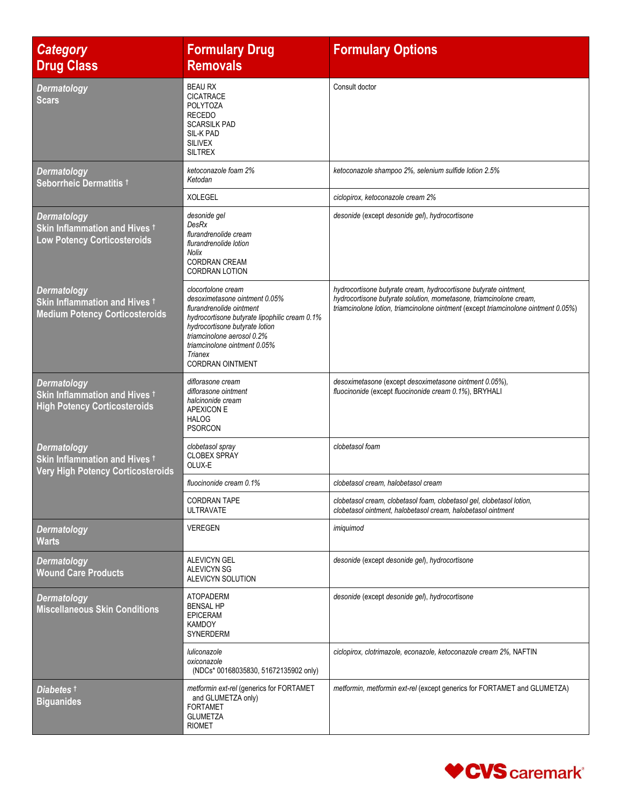| <b>Category</b><br><b>Drug Class</b>                                                                       | <b>Formulary Drug</b><br><b>Removals</b>                                                                                                                                                                                                                               | <b>Formulary Options</b>                                                                                                                                                                                                     |
|------------------------------------------------------------------------------------------------------------|------------------------------------------------------------------------------------------------------------------------------------------------------------------------------------------------------------------------------------------------------------------------|------------------------------------------------------------------------------------------------------------------------------------------------------------------------------------------------------------------------------|
| <b>Dermatology</b><br><b>Scars</b>                                                                         | <b>BEAU RX</b><br><b>CICATRACE</b><br><b>POLYTOZA</b><br><b>RECEDO</b><br><b>SCARSILK PAD</b><br>SIL-K PAD<br><b>SILIVEX</b><br><b>SILTREX</b>                                                                                                                         | Consult doctor                                                                                                                                                                                                               |
| <b>Dermatology</b><br>Seborrheic Dermatitis t                                                              | ketoconazole foam 2%<br>Ketodan                                                                                                                                                                                                                                        | ketoconazole shampoo 2%, selenium sulfide lotion 2.5%                                                                                                                                                                        |
|                                                                                                            | <b>XOLEGEL</b>                                                                                                                                                                                                                                                         | ciclopirox, ketoconazole cream 2%                                                                                                                                                                                            |
| <b>Dermatology</b><br>Skin Inflammation and Hives <sup>+</sup><br><b>Low Potency Corticosteroids</b>       | desonide gel<br>DesRx<br>flurandrenolide cream<br>flurandrenolide lotion<br><b>Nolix</b><br><b>CORDRAN CREAM</b><br><b>CORDRAN LOTION</b>                                                                                                                              | desonide (except desonide gel), hydrocortisone                                                                                                                                                                               |
| <b>Dermatology</b><br>Skin Inflammation and Hives t<br><b>Medium Potency Corticosteroids</b>               | clocortolone cream<br>desoximetasone ointment 0.05%<br>flurandrenolide ointment<br>hydrocortisone butyrate lipophilic cream 0.1%<br>hydrocortisone butyrate lotion<br>triamcinolone aerosol 0.2%<br>triamcinolone ointment 0.05%<br>Trianex<br><b>CORDRAN OINTMENT</b> | hydrocortisone butyrate cream, hydrocortisone butyrate ointment,<br>hydrocortisone butyrate solution, mometasone, triamcinolone cream,<br>triamcinolone lotion, triamcinolone ointment (except triamcinolone ointment 0.05%) |
| <b>Dermatology</b><br>Skin Inflammation and Hives t<br><b>High Potency Corticosteroids</b>                 | diflorasone cream<br>diflorasone ointment<br>halcinonide cream<br><b>APEXICON E</b><br><b>HALOG</b><br><b>PSORCON</b>                                                                                                                                                  | desoximetasone (except desoximetasone ointment 0.05%),<br>fluocinonide (except fluocinonide cream 0.1%), BRYHALI                                                                                                             |
| <b>Dermatology</b><br>Skin Inflammation and Hives <sup>+</sup><br><b>Very High Potency Corticosteroids</b> | clobetasol spray<br><b>CLOBEX SPRAY</b><br>OLUX-E                                                                                                                                                                                                                      | clobetasol foam                                                                                                                                                                                                              |
|                                                                                                            | fluocinonide cream 0.1%                                                                                                                                                                                                                                                | clobetasol cream, halobetasol cream                                                                                                                                                                                          |
|                                                                                                            | <b>CORDRAN TAPE</b><br><b>ULTRAVATE</b>                                                                                                                                                                                                                                | clobetasol cream, clobetasol foam, clobetasol gel, clobetasol lotion,<br>clobetasol ointment, halobetasol cream, halobetasol ointment                                                                                        |
| <b>Dermatology</b><br><b>Warts</b>                                                                         | <b>VEREGEN</b>                                                                                                                                                                                                                                                         | imiquimod                                                                                                                                                                                                                    |
| <b>Dermatology</b><br><b>Wound Care Products</b>                                                           | <b>ALEVICYN GEL</b><br><b>ALEVICYN SG</b><br>ALEVICYN SOLUTION                                                                                                                                                                                                         | desonide (except desonide gel), hydrocortisone                                                                                                                                                                               |
| <b>Dermatology</b><br><b>Miscellaneous Skin Conditions</b>                                                 | <b>ATOPADERM</b><br><b>BENSAL HP</b><br><b>EPICERAM</b><br><b>KAMDOY</b><br>SYNERDERM                                                                                                                                                                                  | desonide (except desonide gel), hydrocortisone                                                                                                                                                                               |
|                                                                                                            | luliconazole<br>oxiconazole<br>(NDCs* 00168035830, 51672135902 only)                                                                                                                                                                                                   | ciclopirox, clotrimazole, econazole, ketoconazole cream 2%, NAFTIN                                                                                                                                                           |
| <b>Diabetes</b> t<br><b>Biguanides</b>                                                                     | metformin ext-rel (generics for FORTAMET<br>and GLUMETZA only)<br><b>FORTAMET</b><br><b>GLUMETZA</b><br><b>RIOMET</b>                                                                                                                                                  | metformin, metformin ext-rel (except generics for FORTAMET and GLUMETZA)                                                                                                                                                     |

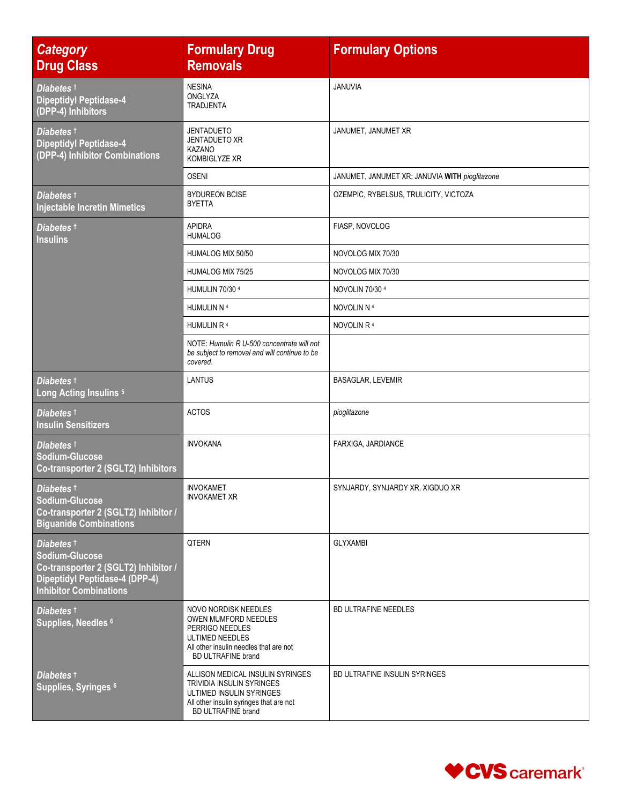| <b>Category</b><br><b>Drug Class</b>                                                                                                           | <b>Formulary Drug</b><br><b>Removals</b>                                                                                                                                 | <b>Formulary Options</b>                       |
|------------------------------------------------------------------------------------------------------------------------------------------------|--------------------------------------------------------------------------------------------------------------------------------------------------------------------------|------------------------------------------------|
| Diabetes t<br><b>Dipeptidyl Peptidase-4</b><br>(DPP-4) Inhibitors                                                                              | <b>NESINA</b><br>ONGLYZA<br><b>TRADJENTA</b>                                                                                                                             | JANUVIA                                        |
| Diabetes t<br><b>Dipeptidyl Peptidase-4</b><br>(DPP-4) Inhibitor Combinations                                                                  | <b>JENTADUETO</b><br><b>JENTADUETO XR</b><br><b>KAZANO</b><br><b>KOMBIGLYZE XR</b>                                                                                       | JANUMET, JANUMET XR                            |
|                                                                                                                                                | <b>OSENI</b>                                                                                                                                                             | JANUMET, JANUMET XR; JANUVIA WITH pioglitazone |
| <b>Diabetes</b> †<br><b>Injectable Incretin Mimetics</b>                                                                                       | <b>BYDUREON BCISE</b><br><b>BYETTA</b>                                                                                                                                   | OZEMPIC, RYBELSUS, TRULICITY, VICTOZA          |
| Diabetes t<br><b>Insulins</b>                                                                                                                  | <b>APIDRA</b><br><b>HUMALOG</b>                                                                                                                                          | FIASP, NOVOLOG                                 |
|                                                                                                                                                | HUMALOG MIX 50/50                                                                                                                                                        | NOVOLOG MIX 70/30                              |
|                                                                                                                                                | HUMALOG MIX 75/25                                                                                                                                                        | NOVOLOG MIX 70/30                              |
|                                                                                                                                                | HUMULIN 70/30 4                                                                                                                                                          | NOVOLIN 70/30 4                                |
|                                                                                                                                                | HUMULIN N 4                                                                                                                                                              | NOVOLIN N <sup>4</sup>                         |
|                                                                                                                                                | HUMULIN R <sup>4</sup>                                                                                                                                                   | NOVOLIN R <sup>4</sup>                         |
|                                                                                                                                                | NOTE: Humulin R U-500 concentrate will not<br>be subject to removal and will continue to be<br>covered.                                                                  |                                                |
| Diabetes +<br>Long Acting Insulins <sup>5</sup>                                                                                                | LANTUS                                                                                                                                                                   | <b>BASAGLAR, LEVEMIR</b>                       |
| Diabetes +<br><b>Insulin Sensitizers</b>                                                                                                       | <b>ACTOS</b>                                                                                                                                                             | pioglitazone                                   |
| Diabetes <sup>t</sup><br><b>Sodium-Glucose</b><br>Co-transporter 2 (SGLT2) Inhibitors                                                          | <b>INVOKANA</b>                                                                                                                                                          | FARXIGA, JARDIANCE                             |
| Diabetes t<br><b>Sodium-Glucose</b><br>Co-transporter 2 (SGLT2) Inhibitor /<br><b>Biguanide Combinations</b>                                   | <b>INVOKAMET</b><br><b>INVOKAMET XR</b>                                                                                                                                  | SYNJARDY, SYNJARDY XR, XIGDUO XR               |
| Diabetes +<br>Sodium-Glucose<br>Co-transporter 2 (SGLT2) Inhibitor /<br><b>Dipeptidyl Peptidase-4 (DPP-4)</b><br><b>Inhibitor Combinations</b> | <b>QTERN</b>                                                                                                                                                             | <b>GLYXAMBI</b>                                |
| Diabetes <sup>t</sup><br>Supplies, Needles <sup>6</sup>                                                                                        | NOVO NORDISK NEEDLES<br>OWEN MUMFORD NEEDLES<br>PERRIGO NEEDLES<br><b>ULTIMED NEEDLES</b><br>All other insulin needles that are not<br><b>BD ULTRAFINE brand</b>         | <b>BD ULTRAFINE NEEDLES</b>                    |
| Diabetes <sup>t</sup><br>Supplies, Syringes 6                                                                                                  | ALLISON MEDICAL INSULIN SYRINGES<br><b>TRIVIDIA INSULIN SYRINGES</b><br>ULTIMED INSULIN SYRINGES<br>All other insulin syringes that are not<br><b>BD ULTRAFINE brand</b> | BD ULTRAFINE INSULIN SYRINGES                  |

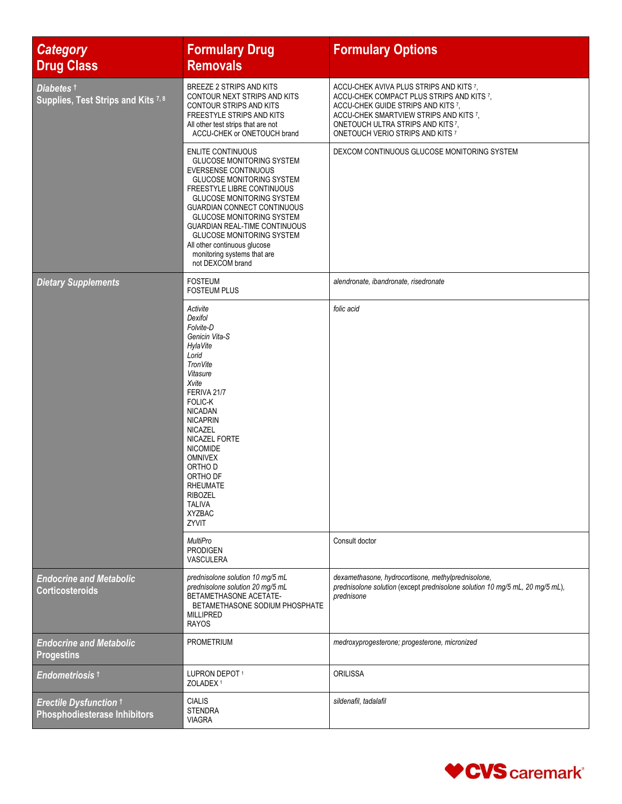| <b>Category</b><br><b>Drug Class</b>                                 | <b>Formulary Drug</b><br><b>Removals</b>                                                                                                                                                                                                                                                                                                                                                                                                   | <b>Formulary Options</b>                                                                                                                                                                                                                     |
|----------------------------------------------------------------------|--------------------------------------------------------------------------------------------------------------------------------------------------------------------------------------------------------------------------------------------------------------------------------------------------------------------------------------------------------------------------------------------------------------------------------------------|----------------------------------------------------------------------------------------------------------------------------------------------------------------------------------------------------------------------------------------------|
| Diabetes t<br>Supplies, Test Strips and Kits 7, 8                    | BREEZE 2 STRIPS AND KITS<br>CONTOUR NEXT STRIPS AND KITS<br>CONTOUR STRIPS AND KITS<br>FREESTYLE STRIPS AND KITS<br>All other test strips that are not<br>ACCU-CHEK or ONETOUCH brand                                                                                                                                                                                                                                                      | ACCU-CHEK AVIVA PLUS STRIPS AND KITS 7,<br>ACCU-CHEK COMPACT PLUS STRIPS AND KITS 7,<br>ACCU-CHEK GUIDE STRIPS AND KITS 7.<br>ACCU-CHEK SMARTVIEW STRIPS AND KITS 7,<br>ONETOUCH ULTRA STRIPS AND KITS7,<br>ONETOUCH VERIO STRIPS AND KITS 7 |
|                                                                      | <b>ENLITE CONTINUOUS</b><br><b>GLUCOSE MONITORING SYSTEM</b><br><b>EVERSENSE CONTINUOUS</b><br><b>GLUCOSE MONITORING SYSTEM</b><br>FREESTYLE LIBRE CONTINUOUS<br><b>GLUCOSE MONITORING SYSTEM</b><br><b>GUARDIAN CONNECT CONTINUOUS</b><br><b>GLUCOSE MONITORING SYSTEM</b><br><b>GUARDIAN REAL-TIME CONTINUOUS</b><br><b>GLUCOSE MONITORING SYSTEM</b><br>All other continuous glucose<br>monitoring systems that are<br>not DEXCOM brand | DEXCOM CONTINUOUS GLUCOSE MONITORING SYSTEM                                                                                                                                                                                                  |
| <b>Dietary Supplements</b>                                           | <b>FOSTEUM</b><br><b>FOSTEUM PLUS</b>                                                                                                                                                                                                                                                                                                                                                                                                      | alendronate, ibandronate, risedronate                                                                                                                                                                                                        |
|                                                                      | Activite<br>Dexifol<br>Folvite-D<br>Genicin Vita-S<br>HylaVite<br>Lorid<br>TronVite<br>Vitasure<br>Xvite<br>FERIVA 21/7<br><b>FOLIC-K</b><br><b>NICADAN</b><br><b>NICAPRIN</b><br><b>NICAZEL</b><br>NICAZEL FORTE<br><b>NICOMIDE</b><br><b>OMNIVEX</b><br>ORTHO D<br>ORTHO DF<br>RHEUMATE<br><b>RIBOZEL</b><br><b>TALIVA</b><br><b>XYZBAC</b><br>ZYVIT<br><b>MultiPro</b>                                                                  | folic acid<br>Consult doctor                                                                                                                                                                                                                 |
|                                                                      | <b>PRODIGEN</b><br>VASCULERA                                                                                                                                                                                                                                                                                                                                                                                                               |                                                                                                                                                                                                                                              |
| <b>Endocrine and Metabolic</b><br><b>Corticosteroids</b>             | prednisolone solution 10 mg/5 mL<br>prednisolone solution 20 mg/5 mL<br>BETAMETHASONE ACETATE-<br>BETAMETHASONE SODIUM PHOSPHATE<br><b>MILLIPRED</b><br><b>RAYOS</b>                                                                                                                                                                                                                                                                       | dexamethasone, hydrocortisone, methylprednisolone,<br>prednisolone solution (except prednisolone solution 10 mg/5 mL, 20 mg/5 mL),<br>prednisone                                                                                             |
| <b>Endocrine and Metabolic</b><br><b>Progestins</b>                  | <b>PROMETRIUM</b>                                                                                                                                                                                                                                                                                                                                                                                                                          | medroxyprogesterone; progesterone, micronized                                                                                                                                                                                                |
| Endometriosis <sup>t</sup>                                           | LUPRON DEPOT <sup>1</sup><br>ZOLADEX <sup>1</sup>                                                                                                                                                                                                                                                                                                                                                                                          | <b>ORILISSA</b>                                                                                                                                                                                                                              |
| <b>Erectile Dysfunction +</b><br><b>Phosphodiesterase Inhibitors</b> | <b>CIALIS</b><br><b>STENDRA</b><br><b>VIAGRA</b>                                                                                                                                                                                                                                                                                                                                                                                           | sildenafil, tadalafil                                                                                                                                                                                                                        |

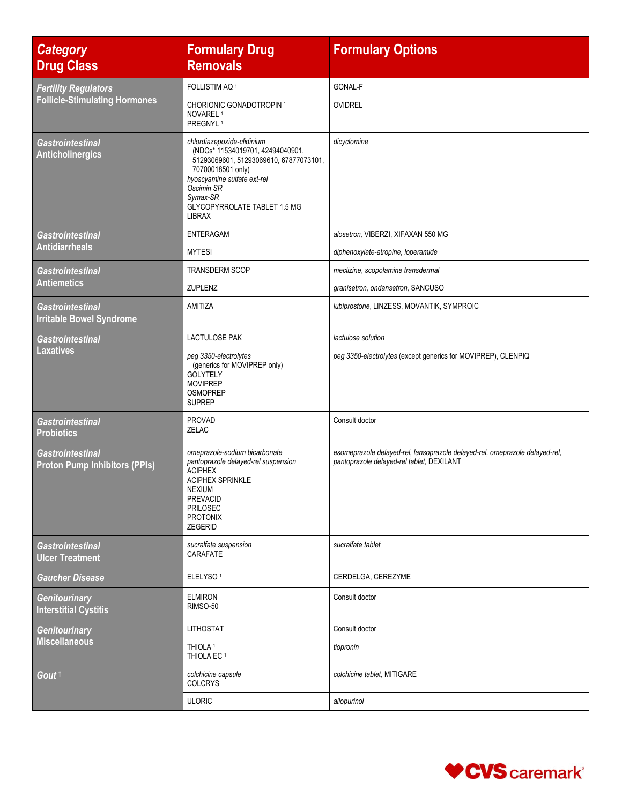| <b>Category</b><br><b>Drug Class</b>                            | <b>Formulary Drug</b><br><b>Removals</b>                                                                                                                                                                                                | <b>Formulary Options</b>                                                                                                 |
|-----------------------------------------------------------------|-----------------------------------------------------------------------------------------------------------------------------------------------------------------------------------------------------------------------------------------|--------------------------------------------------------------------------------------------------------------------------|
| <b>Fertility Regulators</b>                                     | FOLLISTIM AQ <sup>1</sup>                                                                                                                                                                                                               | GONAL-F                                                                                                                  |
| <b>Follicle-Stimulating Hormones</b>                            | <b>CHORIONIC GONADOTROPIN 1</b><br>NOVAREL <sup>1</sup><br>PREGNYL <sup>1</sup>                                                                                                                                                         | <b>OVIDREL</b>                                                                                                           |
| <b>Gastrointestinal</b><br><b>Anticholinergics</b>              | chlordiazepoxide-clidinium<br>(NDCs* 11534019701, 42494040901,<br>51293069601, 51293069610, 67877073101,<br>70700018501 only)<br>hyoscyamine sulfate ext-rel<br>Oscimin SR<br>Symax-SR<br>GLYCOPYRROLATE TABLET 1.5 MG<br><b>LIBRAX</b> | dicyclomine                                                                                                              |
| <b>Gastrointestinal</b>                                         | <b>ENTERAGAM</b>                                                                                                                                                                                                                        | alosetron, VIBERZI, XIFAXAN 550 MG                                                                                       |
| <b>Antidiarrheals</b>                                           | <b>MYTESI</b>                                                                                                                                                                                                                           | diphenoxylate-atropine, loperamide                                                                                       |
| <b>Gastrointestinal</b>                                         | TRANSDERM SCOP                                                                                                                                                                                                                          | meclizine, scopolamine transdermal                                                                                       |
| <b>Antiemetics</b>                                              | ZUPLENZ                                                                                                                                                                                                                                 | granisetron, ondansetron, SANCUSO                                                                                        |
| <b>Gastrointestinal</b><br><b>Irritable Bowel Syndrome</b>      | AMITIZA                                                                                                                                                                                                                                 | lubiprostone, LINZESS, MOVANTIK, SYMPROIC                                                                                |
| <b>Gastrointestinal</b>                                         | <b>LACTULOSE PAK</b>                                                                                                                                                                                                                    | lactulose solution                                                                                                       |
| <b>Laxatives</b>                                                | peg 3350-electrolytes<br>(generics for MOVIPREP only)<br><b>GOLYTELY</b><br><b>MOVIPREP</b><br><b>OSMOPREP</b><br><b>SUPREP</b>                                                                                                         | peg 3350-electrolytes (except generics for MOVIPREP), CLENPIQ                                                            |
| <b>Gastrointestinal</b><br><b>Probiotics</b>                    | <b>PROVAD</b><br>ZELAC                                                                                                                                                                                                                  | Consult doctor                                                                                                           |
| <b>Gastrointestinal</b><br><b>Proton Pump Inhibitors (PPIs)</b> | omeprazole-sodium bicarbonate<br>pantoprazole delayed-rel suspension<br><b>ACIPHEX</b><br><b>ACIPHEX SPRINKLE</b><br><b>NEXIUM</b><br>PREVACID<br>PRILOSEC<br>PROTONIX<br><b>ZEGERID</b>                                                | esomeprazole delayed-rel, lansoprazole delayed-rel, omeprazole delayed-rel,<br>pantoprazole delayed-rel tablet, DEXILANT |
| <b>Gastrointestinal</b><br><b>Ulcer Treatment</b>               | sucralfate suspension<br>CARAFATE                                                                                                                                                                                                       | sucralfate tablet                                                                                                        |
| <b>Gaucher Disease</b>                                          | ELELYSO <sup>1</sup>                                                                                                                                                                                                                    | CERDELGA, CEREZYME                                                                                                       |
| <b>Genitourinary</b><br><b>Interstitial Cystitis</b>            | <b>ELMIRON</b><br>RIMSO-50                                                                                                                                                                                                              | Consult doctor                                                                                                           |
| <b>Genitourinary</b>                                            | <b>LITHOSTAT</b>                                                                                                                                                                                                                        | Consult doctor                                                                                                           |
| <b>Miscellaneous</b>                                            | THIOLA <sup>1</sup><br>THIOLA EC <sup>1</sup>                                                                                                                                                                                           | tiopronin                                                                                                                |
| Gout t                                                          | colchicine capsule<br><b>COLCRYS</b>                                                                                                                                                                                                    | colchicine tablet, MITIGARE                                                                                              |
|                                                                 | <b>ULORIC</b>                                                                                                                                                                                                                           | allopurinol                                                                                                              |

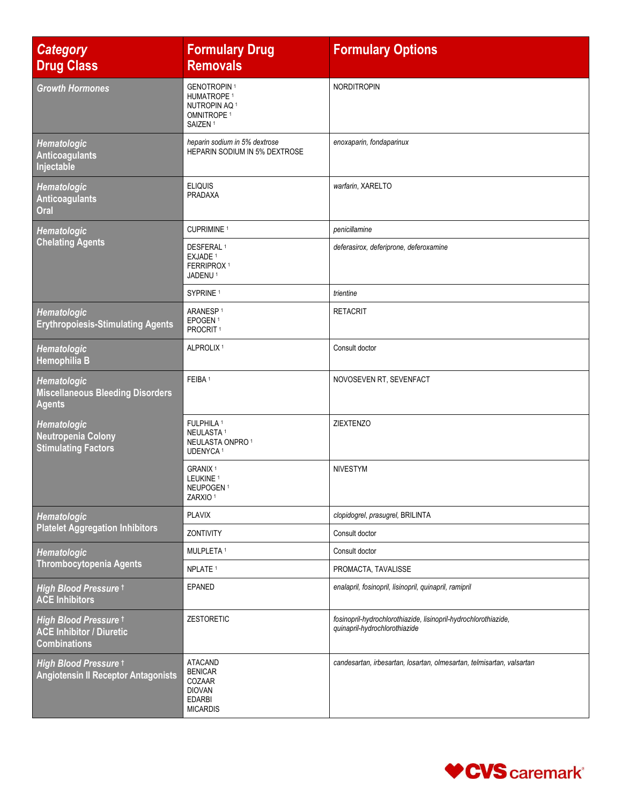| <b>Category</b><br><b>Drug Class</b>                                            | <b>Formulary Drug</b><br><b>Removals</b>                                                                                  | <b>Formulary Options</b>                                                                         |
|---------------------------------------------------------------------------------|---------------------------------------------------------------------------------------------------------------------------|--------------------------------------------------------------------------------------------------|
| <b>Growth Hormones</b>                                                          | <b>GENOTROPIN1</b><br>HUMATROPE <sup>1</sup><br>NUTROPIN AQ <sup>1</sup><br>OMNITROPE <sup>1</sup><br>SAIZEN <sup>1</sup> | <b>NORDITROPIN</b>                                                                               |
| Hematologic<br><b>Anticoagulants</b><br>Injectable                              | heparin sodium in 5% dextrose<br>HEPARIN SODIUM IN 5% DEXTROSE                                                            | enoxaparin, fondaparinux                                                                         |
| Hematologic<br><b>Anticoagulants</b><br>Oral                                    | <b>ELIQUIS</b><br>PRADAXA                                                                                                 | warfarin, XARELTO                                                                                |
| <b>Hematologic</b>                                                              | CUPRIMINE <sup>1</sup>                                                                                                    | penicillamine                                                                                    |
| <b>Chelating Agents</b>                                                         | DESFERAL <sup>1</sup><br>EXJADE <sup>1</sup><br>FERRIPROX <sup>1</sup><br>JADENU <sup>1</sup>                             | deferasirox, deferiprone, deferoxamine                                                           |
|                                                                                 | SYPRINE <sup>1</sup>                                                                                                      | trientine                                                                                        |
| Hematologic<br><b>Erythropoiesis-Stimulating Agents</b>                         | ARANESP <sup>1</sup><br>EPOGEN <sup>1</sup><br>PROCRIT <sup>1</sup>                                                       | <b>RETACRIT</b>                                                                                  |
| Hematologic<br>Hemophilia B                                                     | ALPROLIX <sup>1</sup>                                                                                                     | Consult doctor                                                                                   |
| <b>Hematologic</b><br><b>Miscellaneous Bleeding Disorders</b><br><b>Agents</b>  | FEIBA <sup>1</sup>                                                                                                        | NOVOSEVEN RT, SEVENFACT                                                                          |
| Hematologic<br><b>Neutropenia Colony</b><br><b>Stimulating Factors</b>          | FULPHILA <sup>1</sup><br>NEULASTA <sup>1</sup><br>NEULASTA ONPRO <sup>1</sup><br>UDENYCA <sup>1</sup>                     | <b>ZIEXTENZO</b>                                                                                 |
|                                                                                 | GRANIX <sup>1</sup><br>LEUKINE <sup>1</sup><br>NEUPOGEN <sup>1</sup><br>ZARXIO <sup>1</sup>                               | <b>NIVESTYM</b>                                                                                  |
| Hematologic                                                                     | <b>PLAVIX</b>                                                                                                             | clopidogrel, prasugrel, BRILINTA                                                                 |
| <b>Platelet Aggregation Inhibitors</b>                                          | ZONTIVITY                                                                                                                 | Consult doctor                                                                                   |
| <b>Hematologic</b>                                                              | MULPLETA <sup>1</sup>                                                                                                     | Consult doctor                                                                                   |
| <b>Thrombocytopenia Agents</b>                                                  | NPLATE <sup>1</sup>                                                                                                       | PROMACTA, TAVALISSE                                                                              |
| High Blood Pressure t<br><b>ACE Inhibitors</b>                                  | EPANED                                                                                                                    | enalapril, fosinopril, lisinopril, quinapril, ramipril                                           |
| High Blood Pressure t<br><b>ACE Inhibitor / Diuretic</b><br><b>Combinations</b> | <b>ZESTORETIC</b>                                                                                                         | fosinopril-hydrochlorothiazide, lisinopril-hydrochlorothiazide,<br>quinapril-hydrochlorothiazide |
| High Blood Pressure t<br><b>Angiotensin II Receptor Antagonists</b>             | <b>ATACAND</b><br><b>BENICAR</b><br>COZAAR<br><b>DIOVAN</b><br><b>EDARBI</b><br><b>MICARDIS</b>                           | candesartan, irbesartan, losartan, olmesartan, telmisartan, valsartan                            |

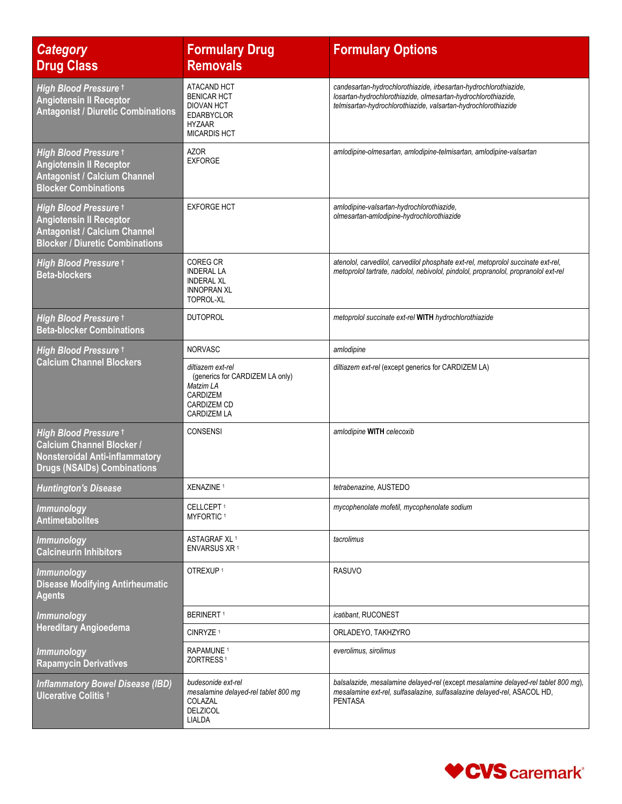| <b>Category</b><br><b>Drug Class</b>                                                                                                     | <b>Formulary Drug</b><br><b>Removals</b>                                                                                         | <b>Formulary Options</b>                                                                                                                                                                            |
|------------------------------------------------------------------------------------------------------------------------------------------|----------------------------------------------------------------------------------------------------------------------------------|-----------------------------------------------------------------------------------------------------------------------------------------------------------------------------------------------------|
| <b>High Blood Pressure t</b><br><b>Angiotensin II Receptor</b><br><b>Antagonist / Diuretic Combinations</b>                              | ATACAND HCT<br><b>BENICAR HCT</b><br><b>DIOVAN HCT</b><br><b>EDARBYCLOR</b><br><b>HYZAAR</b><br><b>MICARDIS HCT</b>              | candesartan-hydrochlorothiazide, irbesartan-hydrochlorothiazide,<br>losartan-hydrochlorothiazide, olmesartan-hydrochlorothiazide,<br>telmisartan-hydrochlorothiazide, valsartan-hydrochlorothiazide |
| High Blood Pressure t<br><b>Angiotensin II Receptor</b><br><b>Antagonist / Calcium Channel</b><br><b>Blocker Combinations</b>            | <b>AZOR</b><br><b>EXFORGE</b>                                                                                                    | amlodipine-olmesartan, amlodipine-telmisartan, amlodipine-valsartan                                                                                                                                 |
| High Blood Pressure t<br><b>Angiotensin II Receptor</b><br><b>Antagonist / Calcium Channel</b><br><b>Blocker / Diuretic Combinations</b> | <b>EXFORGE HCT</b>                                                                                                               | amlodipine-valsartan-hydrochlorothiazide,<br>olmesartan-amlodipine-hydrochlorothiazide                                                                                                              |
| High Blood Pressure t<br><b>Beta-blockers</b>                                                                                            | COREG CR<br><b>INDERAL LA</b><br><b>INDERAL XL</b><br><b>INNOPRAN XL</b><br><b>TOPROL-XL</b>                                     | atenolol, carvedilol, carvedilol phosphate ext-rel, metoprolol succinate ext-rel,<br>metoprolol tartrate, nadolol, nebivolol, pindolol, propranolol, propranolol ext-rel                            |
| High Blood Pressure t<br><b>Beta-blocker Combinations</b>                                                                                | <b>DUTOPROL</b>                                                                                                                  | metoprolol succinate ext-rel WITH hydrochlorothiazide                                                                                                                                               |
| High Blood Pressure t                                                                                                                    | <b>NORVASC</b>                                                                                                                   | amlodipine                                                                                                                                                                                          |
| <b>Calcium Channel Blockers</b>                                                                                                          | diltiazem ext-rel<br>(generics for CARDIZEM LA only)<br>Matzim LA<br><b>CARDIZEM</b><br><b>CARDIZEM CD</b><br><b>CARDIZEM LA</b> | diltiazem ext-rel (except generics for CARDIZEM LA)                                                                                                                                                 |
| High Blood Pressure t<br><b>Calcium Channel Blocker /</b><br><b>Nonsteroidal Anti-inflammatory</b><br><b>Drugs (NSAIDs) Combinations</b> | <b>CONSENSI</b>                                                                                                                  | amlodipine WITH celecoxib                                                                                                                                                                           |
| <b>Huntington's Disease</b>                                                                                                              | XENAZINE <sup>1</sup>                                                                                                            | tetrabenazine, AUSTEDO                                                                                                                                                                              |
| <b>Immunology</b><br><b>Antimetabolites</b>                                                                                              | CELLCEPT <sup>1</sup><br>MYFORTIC <sup>1</sup>                                                                                   | mycophenolate mofetil, mycophenolate sodium                                                                                                                                                         |
| <b>Immunology</b><br><b>Calcineurin Inhibitors</b>                                                                                       | ASTAGRAF XL <sup>1</sup><br>ENVARSUS XR <sup>1</sup>                                                                             | tacrolimus                                                                                                                                                                                          |
| <b>Immunology</b><br><b>Disease Modifying Antirheumatic</b><br><b>Agents</b>                                                             | OTREXUP <sup>1</sup>                                                                                                             | <b>RASUVO</b>                                                                                                                                                                                       |
| <b>Immunology</b>                                                                                                                        | <b>BERINERT1</b>                                                                                                                 | icatibant, RUCONEST                                                                                                                                                                                 |
| <b>Hereditary Angioedema</b>                                                                                                             | CINRYZE <sup>1</sup>                                                                                                             | ORLADEYO, TAKHZYRO                                                                                                                                                                                  |
| <b>Immunology</b><br><b>Rapamycin Derivatives</b>                                                                                        | RAPAMUNE <sup>1</sup><br>ZORTRESS <sup>1</sup>                                                                                   | everolimus, sirolimus                                                                                                                                                                               |
| <b>Inflammatory Bowel Disease (IBD)</b><br>Ulcerative Colitis <sup>+</sup>                                                               | budesonide ext-rel<br>mesalamine delayed-rel tablet 800 mg<br>COLAZAL<br><b>DELZICOL</b><br>LIALDA                               | balsalazide, mesalamine delayed-rel (except mesalamine delayed-rel tablet 800 mg),<br>mesalamine ext-rel, sulfasalazine, sulfasalazine delayed-rel, ASACOL HD,<br><b>PENTASA</b>                    |

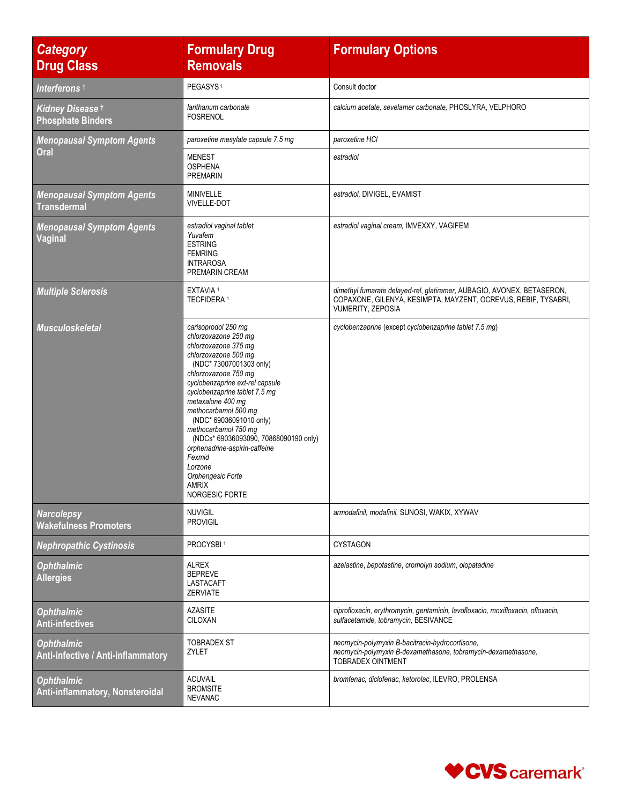| <b>Category</b><br><b>Drug Class</b>                    | <b>Formulary Drug</b><br><b>Removals</b>                                                                                                                                                                                                                                                                                                                                                                                                                          | <b>Formulary Options</b>                                                                                                                                      |
|---------------------------------------------------------|-------------------------------------------------------------------------------------------------------------------------------------------------------------------------------------------------------------------------------------------------------------------------------------------------------------------------------------------------------------------------------------------------------------------------------------------------------------------|---------------------------------------------------------------------------------------------------------------------------------------------------------------|
| Interferons t                                           | PEGASYS <sup>1</sup>                                                                                                                                                                                                                                                                                                                                                                                                                                              | Consult doctor                                                                                                                                                |
| Kidney Disease t<br><b>Phosphate Binders</b>            | lanthanum carbonate<br><b>FOSRENOL</b>                                                                                                                                                                                                                                                                                                                                                                                                                            | calcium acetate, sevelamer carbonate, PHOSLYRA, VELPHORO                                                                                                      |
| <b>Menopausal Symptom Agents</b><br>Oral                | paroxetine mesylate capsule 7.5 mg                                                                                                                                                                                                                                                                                                                                                                                                                                | paroxetine HCI                                                                                                                                                |
|                                                         | <b>MENEST</b><br><b>OSPHENA</b><br><b>PREMARIN</b>                                                                                                                                                                                                                                                                                                                                                                                                                | estradiol                                                                                                                                                     |
| <b>Menopausal Symptom Agents</b><br><b>Transdermal</b>  | <b>MINIVELLE</b><br><b>VIVELLE-DOT</b>                                                                                                                                                                                                                                                                                                                                                                                                                            | estradiol, DIVIGEL, EVAMIST                                                                                                                                   |
| <b>Menopausal Symptom Agents</b><br><b>Vaginal</b>      | estradiol vaginal tablet<br>Yuvafem<br><b>ESTRING</b><br><b>FEMRING</b><br><b>INTRAROSA</b><br>PREMARIN CREAM                                                                                                                                                                                                                                                                                                                                                     | estradiol vaginal cream, IMVEXXY, VAGIFEM                                                                                                                     |
| <b>Multiple Sclerosis</b>                               | <b>EXTAVIA 1</b><br><b>TECFIDERA 1</b>                                                                                                                                                                                                                                                                                                                                                                                                                            | dimethyl fumarate delayed-rel, glatiramer, AUBAGIO, AVONEX, BETASERON,<br>COPAXONE, GILENYA, KESIMPTA, MAYZENT, OCREVUS, REBIF, TYSABRI,<br>VUMERITY, ZEPOSIA |
| <b>Musculoskeletal</b>                                  | carisoprodol 250 mg<br>chlorzoxazone 250 mg<br>chlorzoxazone 375 mg<br>chlorzoxazone 500 mg<br>(NDC* 73007001303 only)<br>chlorzoxazone 750 mg<br>cyclobenzaprine ext-rel capsule<br>cyclobenzaprine tablet 7.5 mg<br>metaxalone 400 mg<br>methocarbamol 500 mg<br>(NDC* 69036091010 only)<br>methocarbamol 750 mg<br>(NDCs* 69036093090, 70868090190 only)<br>orphenadrine-aspirin-caffeine<br>Fexmid<br>Lorzone<br>Orphengesic Forte<br>AMRIX<br>NORGESIC FORTE | cyclobenzaprine (except cyclobenzaprine tablet 7.5 mg)                                                                                                        |
| <b>Narcolepsy</b><br><b>Wakefulness Promoters</b>       | <b>NUVIGIL</b><br><b>PROVIGIL</b>                                                                                                                                                                                                                                                                                                                                                                                                                                 | armodafinil, modafinil, SUNOSI, WAKIX, XYWAV                                                                                                                  |
| <b>Nephropathic Cystinosis</b>                          | PROCYSBI <sup>1</sup>                                                                                                                                                                                                                                                                                                                                                                                                                                             | <b>CYSTAGON</b>                                                                                                                                               |
| <b>Ophthalmic</b><br><b>Allergies</b>                   | <b>ALREX</b><br><b>BEPREVE</b><br>LASTACAFT<br><b>ZERVIATE</b>                                                                                                                                                                                                                                                                                                                                                                                                    | azelastine, bepotastine, cromolyn sodium, olopatadine                                                                                                         |
| <b>Ophthalmic</b><br><b>Anti-infectives</b>             | <b>AZASITE</b><br>CILOXAN                                                                                                                                                                                                                                                                                                                                                                                                                                         | ciprofloxacin, erythromycin, gentamicin, levofloxacin, moxifloxacin, ofloxacin,<br>sulfacetamide, tobramycin, BESIVANCE                                       |
| <b>Ophthalmic</b><br>Anti-infective / Anti-inflammatory | <b>TOBRADEX ST</b><br>ZYLET                                                                                                                                                                                                                                                                                                                                                                                                                                       | neomycin-polymyxin B-bacitracin-hydrocortisone,<br>neomycin-polymyxin B-dexamethasone, tobramycin-dexamethasone,<br>TOBRADEX OINTMENT                         |
| <b>Ophthalmic</b><br>Anti-inflammatory, Nonsteroidal    | <b>ACUVAIL</b><br><b>BROMSITE</b><br><b>NEVANAC</b>                                                                                                                                                                                                                                                                                                                                                                                                               | bromfenac, diclofenac, ketorolac, ILEVRO, PROLENSA                                                                                                            |

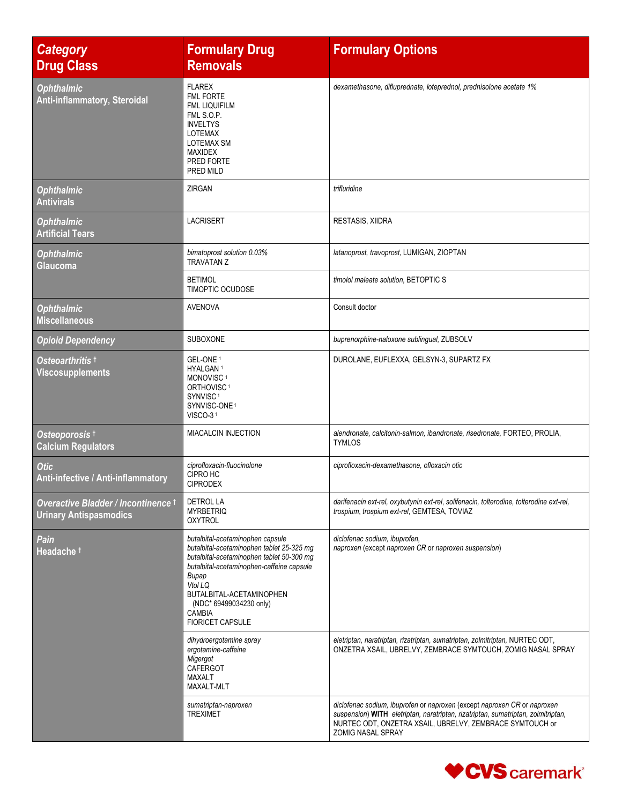| <b>Category</b><br><b>Drug Class</b>                                 | <b>Formulary Drug</b><br><b>Removals</b>                                                                                                                                                                                                                                                | <b>Formulary Options</b>                                                                                                                                                                                                                       |
|----------------------------------------------------------------------|-----------------------------------------------------------------------------------------------------------------------------------------------------------------------------------------------------------------------------------------------------------------------------------------|------------------------------------------------------------------------------------------------------------------------------------------------------------------------------------------------------------------------------------------------|
| <b>Ophthalmic</b><br>Anti-inflammatory, Steroidal                    | <b>FLAREX</b><br>FML FORTE<br><b>FML LIQUIFILM</b><br>FML S.O.P.<br><b>INVELTYS</b><br><b>LOTEMAX</b><br><b>LOTEMAX SM</b><br><b>MAXIDEX</b><br>PRED FORTE<br>PRED MILD                                                                                                                 | dexamethasone, difluprednate, loteprednol, prednisolone acetate 1%                                                                                                                                                                             |
| <b>Ophthalmic</b><br><b>Antivirals</b>                               | ZIRGAN                                                                                                                                                                                                                                                                                  | trifluridine                                                                                                                                                                                                                                   |
| <b>Ophthalmic</b><br><b>Artificial Tears</b>                         | <b>LACRISERT</b>                                                                                                                                                                                                                                                                        | <b>RESTASIS, XIIDRA</b>                                                                                                                                                                                                                        |
| <b>Ophthalmic</b><br><b>Glaucoma</b>                                 | bimatoprost solution 0.03%<br><b>TRAVATAN Z</b>                                                                                                                                                                                                                                         | latanoprost, travoprost, LUMIGAN, ZIOPTAN                                                                                                                                                                                                      |
|                                                                      | <b>BETIMOL</b><br><b>TIMOPTIC OCUDOSE</b>                                                                                                                                                                                                                                               | timolol maleate solution, BETOPTIC S                                                                                                                                                                                                           |
| <b>Ophthalmic</b><br><b>Miscellaneous</b>                            | <b>AVENOVA</b>                                                                                                                                                                                                                                                                          | Consult doctor                                                                                                                                                                                                                                 |
| <b>Opioid Dependency</b>                                             | SUBOXONE                                                                                                                                                                                                                                                                                | buprenorphine-naloxone sublingual, ZUBSOLV                                                                                                                                                                                                     |
| Osteoarthritis t<br><b>Viscosupplements</b>                          | GEL-ONE <sup>1</sup><br>HYALGAN <sup>1</sup><br>MONOVISC <sup>1</sup><br>ORTHOVISC <sup>1</sup><br>SYNVISC <sup>1</sup><br>SYNVISC-ONE <sup>1</sup><br>VISCO-31                                                                                                                         | DUROLANE, EUFLEXXA, GELSYN-3, SUPARTZ FX                                                                                                                                                                                                       |
| Osteoporosis <sup>t</sup><br><b>Calcium Regulators</b>               | MIACALCIN INJECTION                                                                                                                                                                                                                                                                     | alendronate, calcitonin-salmon, ibandronate, risedronate, FORTEO, PROLIA,<br>TYMLOS                                                                                                                                                            |
| <b>Otic</b><br>Anti-infective / Anti-inflammatory                    | ciprofloxacin-fluocinolone<br>CIPRO HC<br><b>CIPRODEX</b>                                                                                                                                                                                                                               | ciprofloxacin-dexamethasone, ofloxacin otic                                                                                                                                                                                                    |
| Overactive Bladder / Incontinence t<br><b>Urinary Antispasmodics</b> | <b>DETROL LA</b><br><b>MYRBETRIQ</b><br><b>OXYTROL</b>                                                                                                                                                                                                                                  | darifenacin ext-rel, oxybutynin ext-rel, solifenacin, tolterodine, tolterodine ext-rel,<br>trospium, trospium ext-rel, GEMTESA, TOVIAZ                                                                                                         |
| Pain<br>Headache †                                                   | butalbital-acetaminophen capsule<br>butalbital-acetaminophen tablet 25-325 mg<br>butalbital-acetaminophen tablet 50-300 mg<br>butalbital-acetaminophen-caffeine capsule<br>Bupap<br>Vtol LQ<br>BUTALBITAL-ACETAMINOPHEN<br>(NDC* 69499034230 only)<br>CAMBIA<br><b>FIORICET CAPSULE</b> | diclofenac sodium, ibuprofen,<br>naproxen (except naproxen CR or naproxen suspension)                                                                                                                                                          |
|                                                                      | dihydroergotamine spray<br>ergotamine-caffeine<br>Migergot<br>CAFERGOT<br>MAXALT<br>MAXALT-MLT                                                                                                                                                                                          | eletriptan, naratriptan, rizatriptan, sumatriptan, zolmitriptan, NURTEC ODT,<br>ONZETRA XSAIL, UBRELVY, ZEMBRACE SYMTOUCH, ZOMIG NASAL SPRAY                                                                                                   |
|                                                                      | sumatriptan-naproxen<br><b>TREXIMET</b>                                                                                                                                                                                                                                                 | diclofenac sodium, ibuprofen or naproxen (except naproxen CR or naproxen<br>suspension) WITH eletriptan, naratriptan, rizatriptan, sumatriptan, zolmitriptan,<br>NURTEC ODT, ONZETRA XSAIL, UBRELVY, ZEMBRACE SYMTOUCH or<br>ZOMIG NASAL SPRAY |

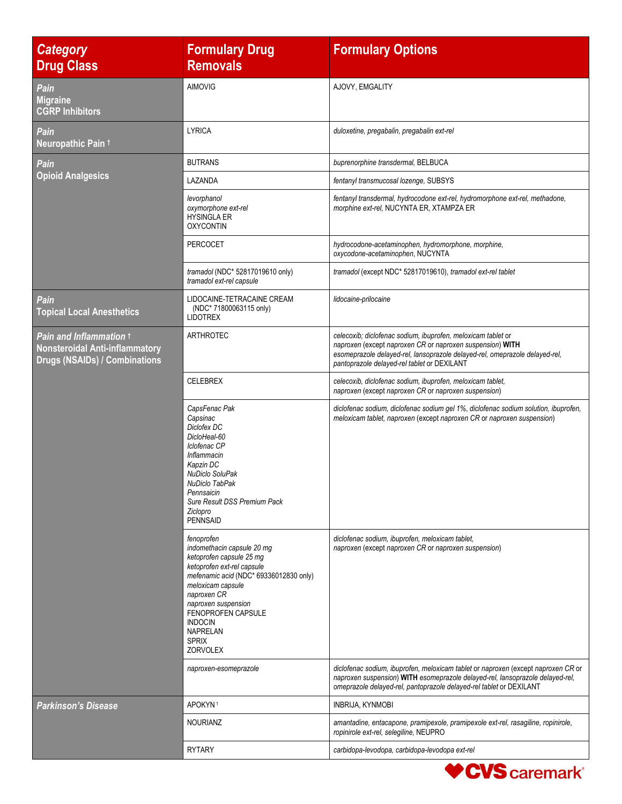| <b>Category</b><br><b>Drug Class</b>                                                                     | <b>Formulary Drug</b><br><b>Removals</b>                                                                                                                                                                                                                                                       | <b>Formulary Options</b>                                                                                                                                                                                                                                |
|----------------------------------------------------------------------------------------------------------|------------------------------------------------------------------------------------------------------------------------------------------------------------------------------------------------------------------------------------------------------------------------------------------------|---------------------------------------------------------------------------------------------------------------------------------------------------------------------------------------------------------------------------------------------------------|
| Pain<br><b>Migraine</b><br><b>CGRP Inhibitors</b>                                                        | <b>AIMOVIG</b>                                                                                                                                                                                                                                                                                 | AJOVY, EMGALITY                                                                                                                                                                                                                                         |
| Pain<br>Neuropathic Pain t                                                                               | <b>LYRICA</b>                                                                                                                                                                                                                                                                                  | duloxetine, pregabalin, pregabalin ext-rel                                                                                                                                                                                                              |
| Pain                                                                                                     | <b>BUTRANS</b>                                                                                                                                                                                                                                                                                 | buprenorphine transdermal, BELBUCA                                                                                                                                                                                                                      |
| <b>Opioid Analgesics</b>                                                                                 | LAZANDA                                                                                                                                                                                                                                                                                        | fentanyl transmucosal lozenge, SUBSYS                                                                                                                                                                                                                   |
|                                                                                                          | levorphanol<br>oxymorphone ext-rel<br><b>HYSINGLA ER</b><br><b>OXYCONTIN</b>                                                                                                                                                                                                                   | fentanyl transdermal, hydrocodone ext-rel, hydromorphone ext-rel, methadone,<br>morphine ext-rel, NUCYNTA ER, XTAMPZA ER                                                                                                                                |
|                                                                                                          | <b>PERCOCET</b>                                                                                                                                                                                                                                                                                | hydrocodone-acetaminophen, hydromorphone, morphine,<br>oxycodone-acetaminophen, NUCYNTA                                                                                                                                                                 |
|                                                                                                          | tramadol (NDC* 52817019610 only)<br>tramadol ext-rel capsule                                                                                                                                                                                                                                   | tramadol (except NDC* 52817019610), tramadol ext-rel tablet                                                                                                                                                                                             |
| Pain<br><b>Topical Local Anesthetics</b>                                                                 | LIDOCAINE-TETRACAINE CREAM<br>(NDC* 71800063115 only)<br><b>LIDOTREX</b>                                                                                                                                                                                                                       | lidocaine-prilocaine                                                                                                                                                                                                                                    |
| Pain and Inflammation +<br><b>Nonsteroidal Anti-inflammatory</b><br><b>Drugs (NSAIDs) / Combinations</b> | ARTHROTEC                                                                                                                                                                                                                                                                                      | celecoxib; diclofenac sodium, ibuprofen, meloxicam tablet or<br>naproxen (except naproxen CR or naproxen suspension) WITH<br>esomeprazole delayed-rel, lansoprazole delayed-rel, omeprazole delayed-rel,<br>pantoprazole delayed-rel tablet or DEXILANT |
|                                                                                                          | <b>CELEBREX</b>                                                                                                                                                                                                                                                                                | celecoxib, diclofenac sodium, ibuprofen, meloxicam tablet,<br>naproxen (except naproxen CR or naproxen suspension)                                                                                                                                      |
|                                                                                                          | CapsFenac Pak<br>Capsinac<br>Diclofex DC<br>DicloHeal-60<br>Iclofenac CP<br>Inflammacin<br>Kapzin DC<br>NuDiclo SoluPak<br>NuDiclo TabPak<br>Pennsaicin<br>Sure Result DSS Premium Pack<br>Ziclopro<br><b>PENNSAID</b>                                                                         | diclofenac sodium, diclofenac sodium gel 1%, diclofenac sodium solution, ibuprofen,<br>meloxicam tablet, naproxen (except naproxen CR or naproxen suspension)                                                                                           |
|                                                                                                          | fenoprofen<br>indomethacin capsule 20 mq<br>ketoprofen capsule 25 mg<br>ketoprofen ext-rel capsule<br>mefenamic acid (NDC* 69336012830 only)<br>meloxicam capsule<br>naproxen CR<br>naproxen suspension<br>FENOPROFEN CAPSULE<br><b>INDOCIN</b><br><b>NAPRELAN</b><br><b>SPRIX</b><br>ZORVOLEX | diclofenac sodium, ibuprofen, meloxicam tablet,<br>naproxen (except naproxen CR or naproxen suspension)<br>diclofenac sodium, ibuprofen, meloxicam tablet or naproxen (except naproxen CR or                                                            |
|                                                                                                          | naproxen-esomeprazole                                                                                                                                                                                                                                                                          | naproxen suspension) WITH esomeprazole delayed-rel, lansoprazole delayed-rel,<br>omeprazole delayed-rel, pantoprazole delayed-rel tablet or DEXILANT                                                                                                    |
| <b>Parkinson's Disease</b>                                                                               | APOKYN <sup>1</sup>                                                                                                                                                                                                                                                                            | <b>INBRIJA, KYNMOBI</b>                                                                                                                                                                                                                                 |
|                                                                                                          | <b>NOURIANZ</b>                                                                                                                                                                                                                                                                                | amantadine, entacapone, pramipexole, pramipexole ext-rel, rasagiline, ropinirole,<br>ropinirole ext-rel, selegiline, NEUPRO                                                                                                                             |
|                                                                                                          | <b>RYTARY</b>                                                                                                                                                                                                                                                                                  | carbidopa-levodopa, carbidopa-levodopa ext-rel                                                                                                                                                                                                          |

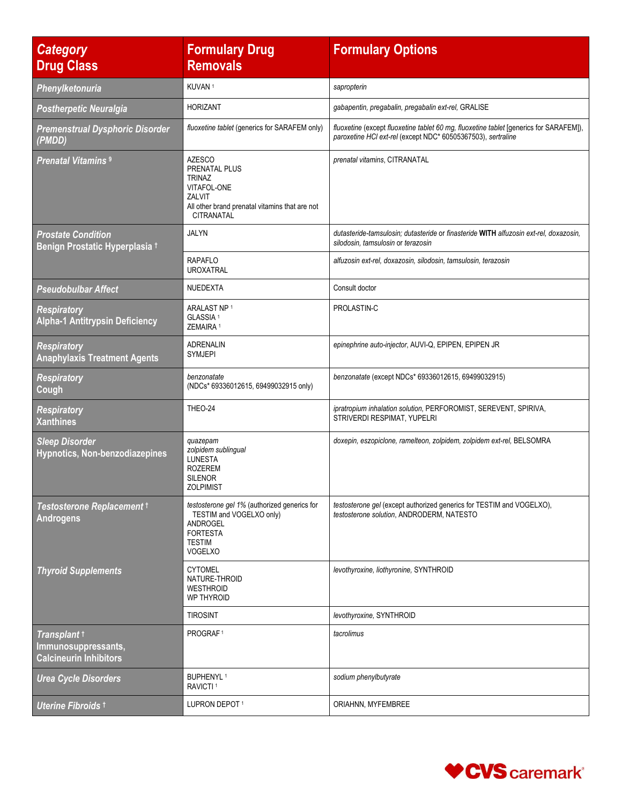| <b>Category</b><br><b>Drug Class</b>                                 | <b>Formulary Drug</b><br><b>Removals</b>                                                                                                   | <b>Formulary Options</b>                                                                                                                               |
|----------------------------------------------------------------------|--------------------------------------------------------------------------------------------------------------------------------------------|--------------------------------------------------------------------------------------------------------------------------------------------------------|
| Phenylketonuria                                                      | KUVAN <sup>1</sup>                                                                                                                         | sapropterin                                                                                                                                            |
| <b>Postherpetic Neuralgia</b>                                        | <b>HORIZANT</b>                                                                                                                            | gabapentin, pregabalin, pregabalin ext-rel, GRALISE                                                                                                    |
| <b>Premenstrual Dysphoric Disorder</b><br>(PMDD)                     | fluoxetine tablet (generics for SARAFEM only)                                                                                              | fluoxetine (except fluoxetine tablet 60 mg, fluoxetine tablet [generics for SARAFEM]),<br>paroxetine HCI ext-rel (except NDC* 60505367503), sertraline |
| <b>Prenatal Vitamins 9</b>                                           | <b>AZESCO</b><br>PRENATAL PLUS<br><b>TRINAZ</b><br>VITAFOL-ONE<br>ZALVIT<br>All other brand prenatal vitamins that are not<br>CITRANATAL   | prenatal vitamins, CITRANATAL                                                                                                                          |
| <b>Prostate Condition</b><br>Benign Prostatic Hyperplasia +          | <b>JALYN</b>                                                                                                                               | dutasteride-tamsulosin; dutasteride or finasteride WITH alfuzosin ext-rel, doxazosin,<br>silodosin, tamsulosin or terazosin                            |
|                                                                      | <b>RAPAFLO</b><br><b>UROXATRAL</b>                                                                                                         | alfuzosin ext-rel, doxazosin, silodosin, tamsulosin, terazosin                                                                                         |
| <b>Pseudobulbar Affect</b>                                           | NUEDEXTA                                                                                                                                   | Consult doctor                                                                                                                                         |
| <b>Respiratory</b><br><b>Alpha-1 Antitrypsin Deficiency</b>          | ARALAST NP <sup>1</sup><br>GLASSIA <sup>1</sup><br>ZEMAIRA <sup>1</sup>                                                                    | PROLASTIN-C                                                                                                                                            |
| <b>Respiratory</b><br><b>Anaphylaxis Treatment Agents</b>            | <b>ADRENALIN</b><br><b>SYMJEPI</b>                                                                                                         | epinephrine auto-injector, AUVI-Q, EPIPEN, EPIPEN JR                                                                                                   |
| <b>Respiratory</b><br>Cough                                          | benzonatate<br>(NDCs* 69336012615, 69499032915 only)                                                                                       | benzonatate (except NDCs* 69336012615, 69499032915)                                                                                                    |
| <b>Respiratory</b><br><b>Xanthines</b>                               | THEO-24                                                                                                                                    | ipratropium inhalation solution, PERFOROMIST, SEREVENT, SPIRIVA,<br>STRIVERDI RESPIMAT, YUPELRI                                                        |
| <b>Sleep Disorder</b><br>Hypnotics, Non-benzodiazepines              | quazepam<br>zolpidem sublingual<br><b>LUNESTA</b><br><b>ROZEREM</b><br><b>SILENOR</b><br><b>ZOLPIMIST</b>                                  | doxepin, eszopiclone, ramelteon, zolpidem, zolpidem ext-rel, BELSOMRA                                                                                  |
| Testosterone Replacement t<br><b>Androgens</b>                       | testosterone gel 1% (authorized generics for<br>TESTIM and VOGELXO only)<br>ANDROGEL<br><b>FORTESTA</b><br><b>TESTIM</b><br><b>VOGELXO</b> | testosterone gel (except authorized generics for TESTIM and VOGELXO),<br>testosterone solution, ANDRODERM, NATESTO                                     |
| <b>Thyroid Supplements</b>                                           | <b>CYTOMEL</b><br>NATURE-THROID<br><b>WESTHROID</b><br>WP THYROID                                                                          | levothyroxine, liothyronine, SYNTHROID                                                                                                                 |
|                                                                      | <b>TIROSINT</b>                                                                                                                            | levothyroxine, SYNTHROID                                                                                                                               |
| Transplant t<br>Immunosuppressants,<br><b>Calcineurin Inhibitors</b> | PROGRAF <sup>1</sup>                                                                                                                       | tacrolimus                                                                                                                                             |
| <b>Urea Cycle Disorders</b>                                          | <b>BUPHENYL1</b><br>RAVICTI <sup>1</sup>                                                                                                   | sodium phenylbutyrate                                                                                                                                  |
| Uterine Fibroids 1                                                   | LUPRON DEPOT1                                                                                                                              | ORIAHNN, MYFEMBREE                                                                                                                                     |

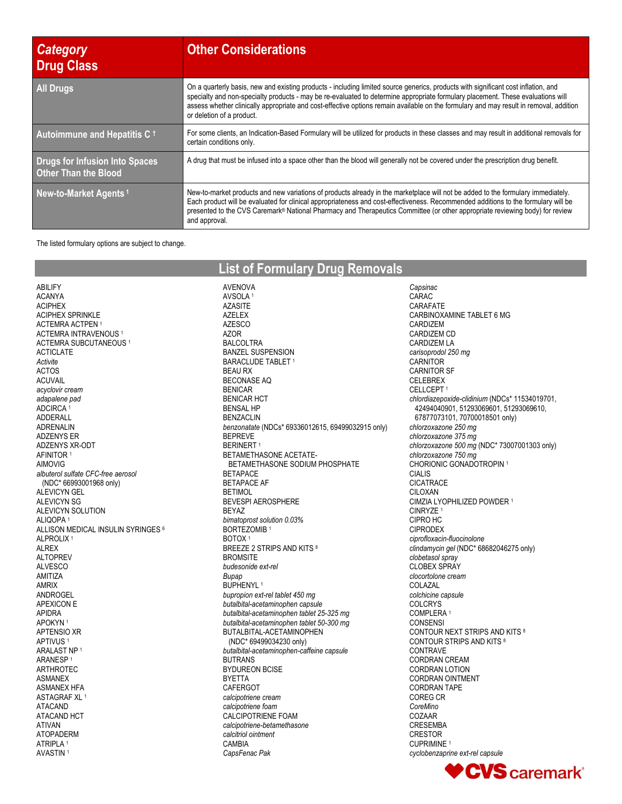| <b>Category</b><br>Drug Class                                        | <b>Other Considerations</b>                                                                                                                                                                                                                                                                                                                                                                                                                  |
|----------------------------------------------------------------------|----------------------------------------------------------------------------------------------------------------------------------------------------------------------------------------------------------------------------------------------------------------------------------------------------------------------------------------------------------------------------------------------------------------------------------------------|
| <b>All Drugs</b>                                                     | On a quarterly basis, new and existing products - including limited source generics, products with significant cost inflation, and<br>specialty and non-specialty products - may be re-evaluated to determine appropriate formulary placement. These evaluations will<br>assess whether clinically appropriate and cost-effective options remain available on the formulary and may result in removal, addition<br>or deletion of a product. |
| Autoimmune and Hepatitis C $\dagger$                                 | For some clients, an Indication-Based Formulary will be utilized for products in these classes and may result in additional removals for<br>certain conditions only.                                                                                                                                                                                                                                                                         |
| <b>Drugs for Infusion Into Spaces</b><br><b>Other Than the Blood</b> | A drug that must be infused into a space other than the blood will generally not be covered under the prescription drug benefit.                                                                                                                                                                                                                                                                                                             |
| New-to-Market Agents <sup>1</sup>                                    | New-to-market products and new variations of products already in the marketplace will not be added to the formulary immediately.<br>Each product will be evaluated for clinical appropriateness and cost-effectiveness. Recommended additions to the formulary will be<br>presented to the CVS Caremark® National Pharmacy and Therapeutics Committee (or other appropriate reviewing body) for review<br>and approval.                      |

The listed formulary options are subject to change.

| <b>List of Formulary Drug Removals</b> |  |
|----------------------------------------|--|
|----------------------------------------|--|

AVENOVA AVSOLA <sup>1</sup>

ABILIFY ACANYA ACIPHEX ACIPHEX SPRINKLE ACTEMRA ACTPEN <sup>1</sup> ACTEMRA INTRAVENOUS <sup>1</sup> ACTEMRA SUBCUTANEOUS <sup>1</sup> ACTICLATE *Activite* ACTOS ACUVAIL *acyclovir cream adapalene pad* ADCIRCA<sup>1</sup> ADDERALL ADRENALIN ADZENYS ER ADZENYS XR-ODT AFINITOR <sup>1</sup> AIMOVIG *albuterol sulfate CFC-free aerosol* (NDC\* 66993001968 only) ALEVICYN GEL ALEVICYN SG ALEVICYN SOLUTION ALIQOPA <sup>1</sup> ALLISON MEDICAL INSULIN SYRINGES <sup>6</sup> ALPROLIX <sup>1</sup> ALREX ALTOPREV ALVESCO AMITIZA AMRIX ANDROGEL APEXICON E APIDRA APOKYN <sup>1</sup> APTENSIO XR APTIVUS <sup>1</sup> ARALAST NP <sup>1</sup> ARANESP <sup>1</sup> ARTHROTEC ASMANEX ASMANEX HFA ASTAGRAF XL <sup>1</sup> ATACAND ATACAND HCT ATIVAN ATOPADERM ATRIPLA <sup>1</sup> AVASTIN <sup>1</sup>

AZASITE AZELEX AZESCO AZOR BALCOLTRA BANZEL SUSPENSION BARACLUDE TABLET<sup>1</sup> BEAU RX BECONASE AQ BENICAR BENICAR HCT BENSAL HP BENZACLIN *benzonatate* (NDCs\* 69336012615, 69499032915 only) BEPREVE **BERINERT1** BETAMETHASONE ACETATE- BETAMETHASONE SODIUM PHOSPHATE BETAPACE BETAPACE AF **BETIMOL** BEVESPI AEROSPHERE BEYAZ *bimatoprost solution 0.03%* BORTEZOMIB <sup>1</sup> BOTOX <sup>1</sup> BREEZE 2 STRIPS AND KITS 8 **BROMSITE** *budesonide ext-rel Bupap* BUPHENYL<sup>1</sup> *bupropion ext-rel tablet 450 mg butalbital-acetaminophen capsule butalbital-acetaminophen tablet 25-325 mg butalbital-acetaminophen tablet 50-300 mg* BUTALBITAL-ACETAMINOPHEN (NDC\* 69499034230 only) *butalbital-acetaminophen-caffeine capsule* BUTRANS BYDUREON BCISE BYETTA CAFERGOT *calcipotriene cream calcipotriene foam* CALCIPOTRIENE FOAM *calcipotriene-betamethasone calcitriol ointment* CAMBIA *CapsFenac Pak*

*Capsinac* CARAC CARAFATE CARBINOXAMINE TABLET 6 MG CARDIZEM CARDIZEM CD CARDIZEM LA *carisoprodol 250 mg* **CARNITOR** CARNITOR SF CELEBREX CELLCEPT <sup>1</sup> *chlordiazepoxide-clidinium* (NDCs\* 11534019701, 42494040901, 51293069601, 51293069610, 67877073101, 70700018501 only) *chlorzoxazone 250 mg chlorzoxazone 375 mg chlorzoxazone 500 mg* (NDC\* 73007001303 only) *chlorzoxazone 750 mg* CHORIONIC GONADOTROPIN <sup>1</sup> CIALIS CICATRACE CILOXAN CIMZIA LYOPHILIZED POWDER <sup>1</sup> CINRYZE <sup>1</sup> CIPRO HC CIPRODEX *ciprofloxacin-fluocinolone clindamycin gel* (NDC\* 68682046275 only) *clobetasol spray* CLOBEX SPRAY *clocortolone cream* COLAZAL *colchicine capsule* COLCRYS COMPLERA <sup>1</sup> CONSENSI CONTOUR NEXT STRIPS AND KITS <sup>8</sup> CONTOUR STRIPS AND KITS <sup>8</sup> CONTRAVE CORDRAN CREAM CORDRAN LOTION CORDRAN OINTMENT CORDRAN TAPE COREG CR *CoreMino* COZAAR CRESEMBA CRESTOR CUPRIMINE <sup>1</sup> *cyclobenzaprine ext-rel capsule*

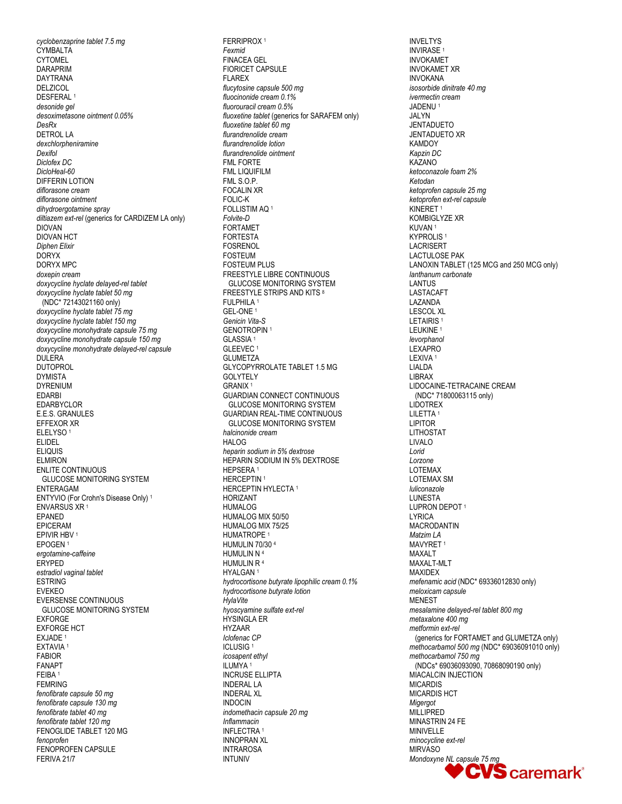cyclobenzaprine tablet 7.5 mg CYMBALTA **CYTOMEL DARAPRIM DAYTRANA DELZICOL DESFERAL** desonide gel desoximetasone ointment 0.05% DesRx **DETROL LA** dexchlorpheniramine Dexifol Diclofex DC DicloHeal-60 **DIFFERIN LOTION** diflorasone cream diflorasone ointment dihydroergotamine spray diltiazem ext-rel (generics for CARDIZEM LA only) **DIOVAN DIOVAN HCT Diphen Elixir DORYX DORYX MPC** doxepin cream doxycycline hyclate delayed-rel tablet doxycycline hyclate tablet 50 mq (NDC\* 72143021160 only) doxycycline hyclate tablet 75 mg doxycycline hyclate tablet 150 mg doxycycline monohydrate capsule 75 mg doxycycline monohydrate capsule 150 mg doxycycline monohydrate delayed-rel capsule **DULERA DUTOPROL DYMISTA DYRENIUM FDARRI** EDARBYCLOR E.E.S. GRANULES EFFEXOR XR ELELYSO<sup>1</sup> **ELIDEL FLIOUIS ELMIRON ENLITE CONTINUOUS GLUCOSE MONITORING SYSTEM ENTERAGAM** ENTYVIO (For Crohn's Disease Only)<sup>1</sup> ENVARSUS XR<sup>1</sup> **FPANFD** EPICERAM EPIVIR HBV<sup>1</sup> EPOGEN<sup>1</sup> ergotamine-caffeine ERYPED estradiol vaginal tablet **ESTRING EVEKEO EVERSENSE CONTINUOUS GLUCOSE MONITORING SYSTEM EXFORGE FXFORGF HCT** EXJADE<sup>1</sup> EXTAVIA<sup>1</sup> **FABIOR FANAPT** FFIRA<sup>1</sup> **FEMRING** fenofibrate capsule 50 mg fenofibrate capsule 130 mg fenofibrate tablet 40 mg fenofibrate tablet 120 mg FENOGLIDE TABLET 120 MG fenoprofen FENOPROFEN CAPSULE FERIVA 21/7

**FERRIPROX1** Fexmid **FINACEA GEL FIORICET CAPSULE FLAREX** flucytosine capsule 500 mg fluocinonide cream 0.1% fluorouracil cream 0.5% fluoxetine tablet (generics for SARAFEM only) fluoxetine tablet 60 mg flurandrenolide cream flurandrenolide lotion flurandrenolide ointment **FMI FORTE FML LIQUIFILM** FML S.O.P. **FOCALIN XR** FOLIC-K FOLLISTIM AO<sup>1</sup> Folvite-D **FORTAMET FORTESTA FOSRENOL FOSTEUM FOSTEUM PLUS FREESTYLE LIBRE CONTINUOUS GLUCOSE MONITORING SYSTEM FREESTYLE STRIPS AND KITS 8** FULPHILA<sup>1</sup> **GEL-ONE** Genicin Vita-S **GENOTROPIN1** GLASSIA<sup>1</sup> GLEEVEC<sup>1</sup> **GLUMETZA GLYCOPYRROLATE TABLET 1.5 MG GOLYTELY GRANIX<sup>1</sup> GUARDIAN CONNECT CONTINUOUS GLUCOSE MONITORING SYSTEM GUARDIAN REAL-TIME CONTINUOUS GLUCOSE MONITORING SYSTEM** halcinonide cream HAI OG heparin sodium in 5% dextrose **HEPARIN SODIUM IN 5% DEXTROSE** HEPSERA<sup>1</sup> HERCEPTIN<sup>1</sup> HERCEPTIN HYLECTA<sup>1</sup> **HORIZANT HUMALOG** HUMALOG MIX 50/50 HUMALOG MIX 75/25 HUMATROPE<sup>1</sup> HUMULIN 70/30 4 HUMULIN N 4 HUMULIN R<sup>4</sup> HYALGAN<sup>1</sup> hydrocortisone butyrate lipophilic cream 0.1% hydrocortisone butyrate lotion HylaVite hyoscyamine sulfate ext-rel **HYSINGLA ER** HY7AAR Iclofenac CP **ICLUSIG1** icosapent ethyl ILUMYA<sup>1</sup> **INCRUSE ELLIPTA INDERAL LA INDERAL XL INDOCIN** indomethacin capsule 20 mq Inflammacin INFLECTRA<sup>1</sup> **INNOPRAN XL INTRAROSA INTUNIV** 

**INVELTYS INVIRASE1 INVOKAMET INVOKAMET XR INVOKANA** isosorbide dinitrate 40 mg ivermectin cream JADENU<sup>1</sup> **JALYN JENTADUETO JENTADUETO XR KAMDOY** Kapzin DC KAZANO ketoconazole foam 2% Ketodan ketoprofen capsule 25 mg ketoprofen ext-rel capsule KINERET<sup>1</sup> **KOMBIGLYZE XR** KUVAN<sup>1</sup> **KYPROLIS<sup>1</sup> LACRISERT LACTULOSE PAK** LANOXIN TABLET (125 MCG and 250 MCG only) lanthanum carbonate **I ANTIJS LASTACAFT** LAZANDA **LESCOL XL** LETAIRIS<sup>1</sup> LEUKINE<sup>1</sup> levorphanol LEXAPRO LEXIVA<sup>1</sup> LIALDA **LIBRAX** LIDOCAINE-TETRACAINE CREAM (NDC\* 71800063115 only) **LIDOTREX** LILETTA<sup>1</sup> **LIPITOR LITHOSTAT LIVALO** Lorid Lorzone **LOTEMAX LOTEMAX SM** luliconazole **I UNESTA** LUPRON DEPOT<sup>1</sup> **LYRICA MACRODANTIN** Matzim LA MAVYRET<sup>1</sup> **MAXALT** MAXALT-MLT **MAXIDEX** mefenamic acid (NDC\* 69336012830 only) meloxicam capsule **MENEST** mesalamine delayed-rel tablet 800 mg metaxalone 400 mg metformin ext-rel (generics for FORTAMET and GLUMETZA only) methocarbamol 500 mg (NDC\* 69036091010 only) methocarbamol 750 mg (NDCs\* 69036093090, 70868090190 only) MIACALCIN INJECTION **MICARDIS** MICARDIS HCT Miaeraot MILLIPRED MINASTRIN 24 FE **MINIVELLE** minocycline ext-rel **MIRVASO** Mondoxyne NL capsule 75 mg **CVS** caremark<sup>®</sup>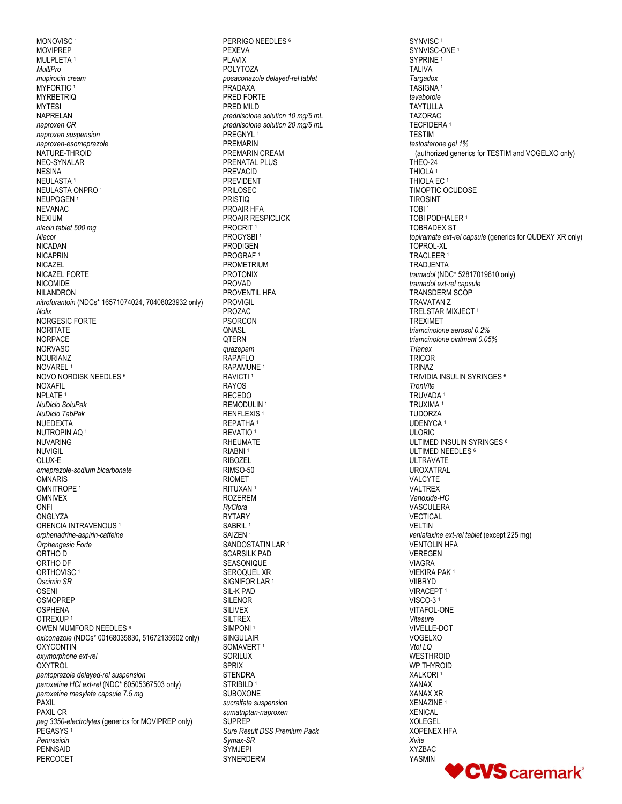MONOVISC<sup>1</sup> **MOVIPREP** MULPLETA<sup>1</sup> **MultiPro** mupirocin cream MYFORTIC<sup>1</sup> **MYRBETRIO MYTESI NAPRELAN** naproxen CR naproxen suspension naproxen-esomeprazole NATURE-THROID NEO-SYNALAR **NESINA** NEULASTA<sup>1</sup> NEULASTA ONPRO<sup>1</sup> NFUPOGEN1 **NEVANAC NEXIUM** niacin tablet 500 mg Niacor **NICADAN NICAPRIN NICAZEL** NICAZEL FORTE **NICOMIDE NILANDRON** nitrofurantoin (NDCs\* 16571074024, 70408023932 only) Nolix NORGESIC FORTE **NORITATE** NORPACE **NORVASC NOURIANZ** NOVAREL<sup>1</sup> NOVO NORDISK NEEDLES 6 **NOXAFIL** NPI ATF<sub>1</sub> NuDiclo SoluPak NuDiclo TabPak NUEDEXTA NUTROPIN AQ<sup>1</sup> **NUVARING NUVIGIL** OLUX-E omeprazole-sodium bicarbonate **OMNARIS** OMNITROPE<sup>1</sup> **OMNIVEX ONFI** ONGI Y7A ORENCIA INTRAVENOUS<sup>1</sup> orphenadrine-aspirin-caffeine Orphenaesic Forte ORTHO D ORTHO DF ORTHOVISC<sup>1</sup> Oscimin SR OSENI **OSMOPREP OSPHENA** OTREXUP<sup>1</sup> OWEN MUMFORD NEEDLES 6 oxiconazole (NDCs\* 00168035830, 51672135902 only) OXYCONTIN oxymorphone ext-rel **OXYTROL** pantoprazole delayed-rel suspension paroxetine HCI ext-rel (NDC\* 60505367503 only) paroxetine mesylate capsule 7.5 mg PAXIL **PAXIL CR** peg 3350-electrolytes (generics for MOVIPREP only) PEGASYS<sup>1</sup> Pennsaicin **PENNSAID PERCOCET** 

PERRIGO NEEDLES<sup>6</sup> PFXFVA **PLAVIX POLYTOZA** posaconazole delayed-rel tablet PRADAXA PRED FORTE PRED MILD prednisolone solution 10 ma/5 mL prednisolone solution 20 mg/5 mL PREGNYL<sup>1</sup> **PREMARIN** PREMARIN CREAM PRENATAL PLUS **PREVACID PREVIDENT PRILOSEC PRISTIO** PROAIR HFA PROAIR RESPICLICK PROCRIT<sup>1</sup> PROCYSBI<sup>1</sup> **PRODIGEN** PROGRAF<sup>1</sup> **PROMETRIUM PROTONIX PROVAD** PROVENTIL HFA **PROVIGIL** PROZAC **PSORCON** ONASL QTERN quazepam RAPAFLO RAPAMUNE<sup>1</sup> RAVICTI<sup>1</sup> **RAYOS RECEDO** REMODULIN<sup>1</sup> RENFLEXIS<sup>1</sup> REPATHA<sup>1</sup> REVATIO<sup>1</sup> **RHEUMATE** RIABNI<sup>1</sup> **RIBOZEL** RIMSO-50 **RIOMET** RITUXAN<sup>1</sup> **ROZEREM** RvClora RYTARY SABRIL<sup>1</sup> SAIZEN<sup>1</sup> SANDOSTATIN LAR<sup>1</sup> **SCARSILK PAD SEASONIQUE** SEROQUEL XR SIGNIFOR LAR<sup>1</sup> SIL-K PAD **SILENOR SILIVEX SILTREX** SIMPONI<sup>1</sup> **SINGULAIR** SOMAVERT<sup>1</sup> **SORILUX SPRIX STENDRA** STRIBILD<sup>1</sup> SUBOXONE sucralfate suspension sumatriptan-naproxen **SUPREP** Sure Result DSS Premium Pack Svmax-SR SYM.IFPI SYNERDERM

SYNVISC<sup>1</sup> SYNVISC-ONE<sup>1</sup> SYPRINE<sup>1</sup> **TALIVA** Targadox TASIGNA<sup>1</sup> tavaborole **TAYTULLA TAZORAC** TECFIDERA<sup>1</sup> **TESTIM** testosterone gel 1% (authorized generics for TESTIM and VOGELXO only) THEO-24 **THIOLA** THIOLA EC<sup>1</sup> TIMOPTIC OCUDOSE **TIROSINT** TORI<sup>1</sup> TOBI PODHALER<sup>1</sup> **TOBRADEX ST** topiramate ext-rel capsule (generics for QUDEXY XR only) TOPROL-XL TRACLEER<sup>1</sup> **TRADJENTA** tramadol (NDC\* 52817019610 only) tramadol ext-rel capsule **TRANSDERM SCOP TRAVATAN Z** TRELSTAR MIXJECT<sup>1</sup> **TREXIMET** triamcinolone aerosol 0.2% triamcinolone ointment 0.05% **Trianex** TRICOR **TRINAZ** TRIVIDIA INSULIN SYRINGES 6 **TronVite** TRUVADA<sup>1</sup> TRUXIMA<sup>1</sup> **TUDORZA** UDENYCA<sup>1</sup> **ULORIC** ULTIMED INSULIN SYRINGES<sup>6</sup> ULTIMED NEEDLES 6 **ULTRAVATE UROXATRAL** VAI CYTE VALTREX Vanoxide-HC VASCULERA **VECTICAL VELTIN** venlafaxine ext-rel tablet (except 225 mg) **VENTOLIN HFA VEREGEN VIAGRA VIEKIRA PAK1 VIIBRYD** VIRACEPT<sup>1</sup> VISCO-31 VITAFOL-ONE Vitasure VIVELLE-DOT VOGELXO Vtol LQ **WESTHROID WP THYROID** XALKORI<sup>1</sup> **XANAX XANAX XR** XENAZINE<sup>1</sup> **XENICAI XOLEGEL XOPENEX HFA** Xvite **XYZBAC YASMIN** 

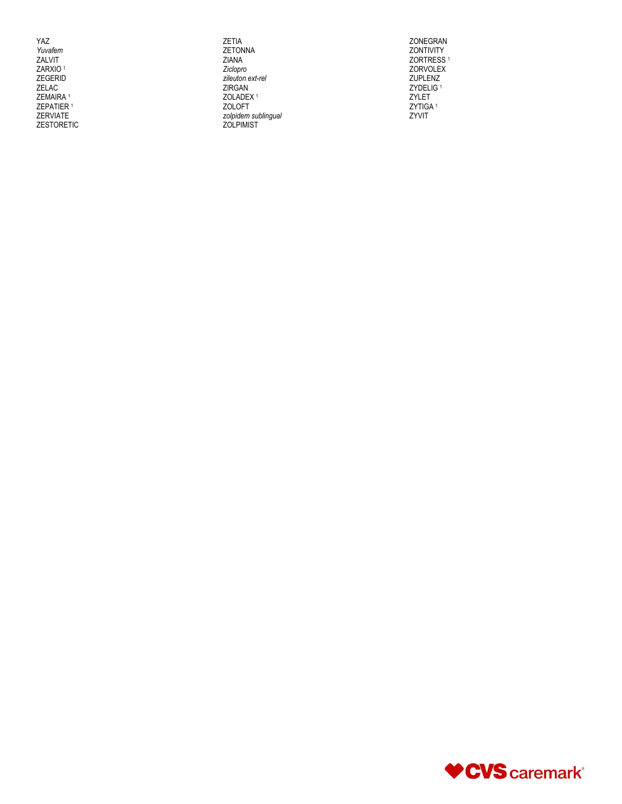YAZ Yuvafem ZALVIT ZARXIO<sup>1</sup> ZEGERID<br>ZELAC<br>ZEMAIRA 1 ZEPATIER<sup>1</sup> ZERVIATE ZESTORETIC

ZETIA<br>ZETONNA ZIANA Ziclopro zileuton ext-rel<br>ZIRGAN ZOLADEX<sup>1</sup> ZOLOFT \_\_\_\_.<br>zolpidem sublingual<br>ZOLPIMIST

ZONEGRAN ZONTIVITY ZORTRESS<sup>1</sup> ZORVOLEX ZUPLENZ<br>ZUPLENZ<br>ZYDELIG<sup>1</sup> ZYLET ZYTIGA<sup>1</sup> ZYVIT